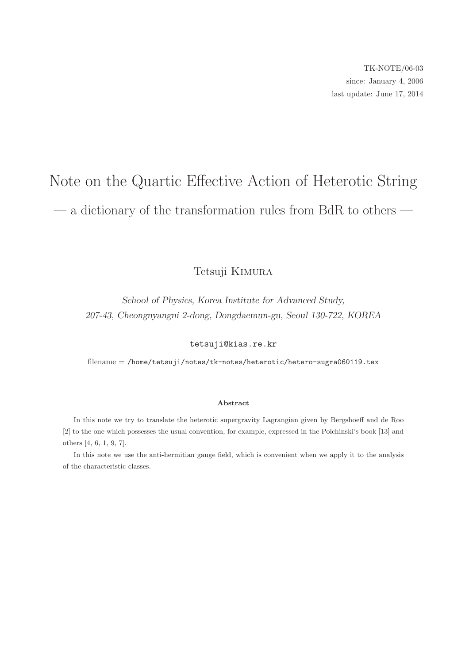# Note on the Quartic Effective Action of Heterotic String — a dictionary of the transformation rules from BdR to others —

# Tetsuji Kimura

School of Physics, Korea Institute for Advanced Study, 207-43, Cheongnyangni 2-dong, Dongdaemun-gu, Seoul 130-722, KOREA

tetsuji@kias.re.kr

filename = /home/tetsuji/notes/tk-notes/heterotic/hetero-sugra060119.tex

#### Abstract

In this note we try to translate the heterotic supergravity Lagrangian given by Bergshoeff and de Roo [2] to the one which possesses the usual convention, for example, expressed in the Polchinski's book [13] and others [4, 6, 1, 9, 7].

In this note we use the anti-hermitian gauge field, which is convenient when we apply it to the analysis of the characteristic classes.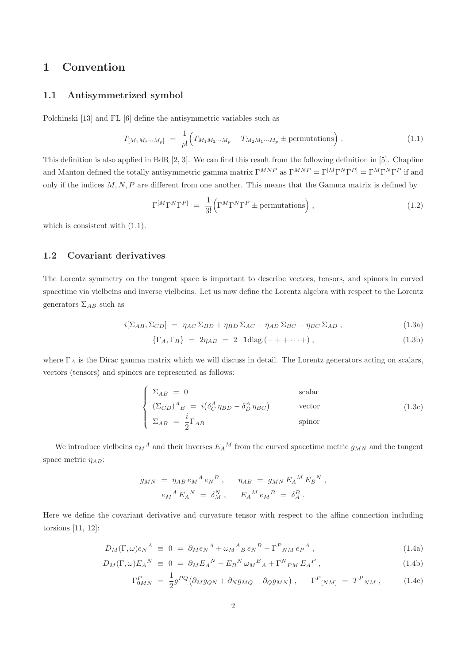# 1 Convention

#### 1.1 Antisymmetrized symbol

Polchinski [13] and FL [6] define the antisymmetric variables such as

$$
T_{[M_1M_2\cdots M_p]} = \frac{1}{p!} \Big( T_{M_1M_2\cdots M_p} - T_{M_2M_1\cdots M_p} \pm \text{permutations} \Big) . \tag{1.1}
$$

This definition is also applied in BdR [2, 3]. We can find this result from the following definition in [5]. Chapline and Manton defined the totally antisymmetric gamma matrix  $\Gamma^{MNP}$  as  $\Gamma^{MNP} = \Gamma^{[M}\Gamma^{N}\Gamma^{P]} = \Gamma^{M}\Gamma^{N}\Gamma^{P}$  if and only if the indices  $M, N, P$  are different from one another. This means that the Gamma matrix is defined by

$$
\Gamma^{[M}\Gamma^{N}\Gamma^{P]} = \frac{1}{3!} \left( \Gamma^{M}\Gamma^{N}\Gamma^{P} \pm \text{permutations} \right), \qquad (1.2)
$$

which is consistent with  $(1.1)$ .

## 1.2 Covariant derivatives

The Lorentz symmetry on the tangent space is important to describe vectors, tensors, and spinors in curved spacetime via vielbeins and inverse vielbeins. Let us now define the Lorentz algebra with respect to the Lorentz generators  $\Sigma_{AB}$  such as

$$
i[\Sigma_{AB}, \Sigma_{CD}] = \eta_{AC} \Sigma_{BD} + \eta_{BD} \Sigma_{AC} - \eta_{AD} \Sigma_{BC} - \eta_{BC} \Sigma_{AD} , \qquad (1.3a)
$$

$$
\{\Gamma_A, \Gamma_B\} = 2\eta_{AB} = 2 \cdot \text{1diag.}(-++\cdots+),\tag{1.3b}
$$

where  $\Gamma_A$  is the Dirac gamma matrix which we will discuss in detail. The Lorentz generators acting on scalars, vectors (tensors) and spinors are represented as follows:

$$
\begin{cases}\n\Sigma_{AB} = 0 & \text{scalar} \\
(\Sigma_{CD})^A{}_B = i(\delta^A_C \eta_{BD} - \delta^A_D \eta_{BC}) & \text{vector} \\
\Sigma_{AB} = \frac{i}{2} \Gamma_{AB} & \text{spinor}\n\end{cases}
$$
\n(1.3c)

We introduce vielbeins  $e_M{}^A$  and their inverses  $E_A{}^M$  from the curved spacetime metric  $g_{MN}$  and the tangent space metric  $\eta_{AB}$ :

$$
g_{MN} = \eta_{AB} e_M{}^A e_N{}^B , \qquad \eta_{AB} = g_{MN} E_A{}^M E_B{}^N ,
$$
  

$$
e_M{}^A E_A{}^N = \delta_M^N , \qquad E_A{}^M e_M{}^B = \delta_A^B .
$$

Here we define the covariant derivative and curvature tensor with respect to the affine connection including torsions [11, 12]:

$$
D_M(\Gamma,\omega)e_N^A \equiv 0 = \partial_M e_N^A + \omega_M{}^A{}_B e_N{}^B - \Gamma^P{}_{NM} e_P{}^A , \qquad (1.4a)
$$

$$
D_M(\Gamma,\omega)E_A{}^N \equiv 0 = \partial_M E_A{}^N - E_B{}^N \omega_M{}^B{}_A + \Gamma^N{}_{PM} E_A{}^P \,, \tag{1.4b}
$$

$$
\Gamma_{0MN}^P = \frac{1}{2} g^{PQ} \left( \partial_M g_{QN} + \partial_N g_{MQ} - \partial_Q g_{MN} \right), \qquad \Gamma_{[NM]}^P = T_{NM}^P, \qquad (1.4c)
$$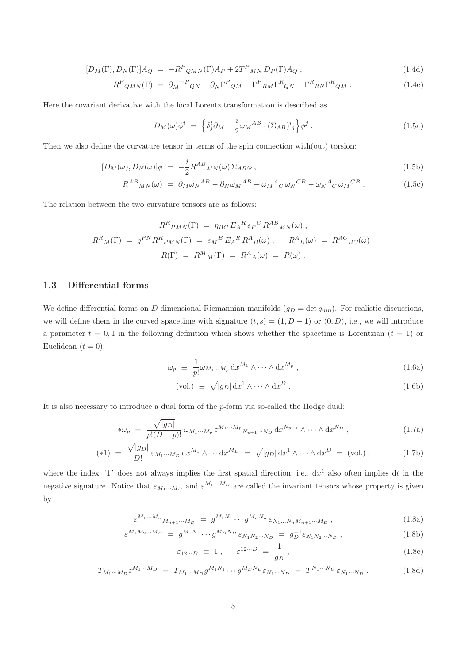$$
[D_M(\Gamma), D_N(\Gamma)]A_Q = -R^P_{QMN}(\Gamma)A_P + 2T^P_{MN}D_P(\Gamma)A_Q, \qquad (1.4d)
$$

$$
R^{P}{}_{QMN}(\Gamma) = \partial_{M}\Gamma^{P}{}_{QN} - \partial_{N}\Gamma^{P}{}_{QM} + \Gamma^{P}{}_{RM}\Gamma^{R}{}_{QN} - \Gamma^{R}{}_{RN}\Gamma^{R}{}_{QM} . \qquad (1.4e)
$$

Here the covariant derivative with the local Lorentz transformation is described as

$$
D_M(\omega)\phi^i = \left\{ \delta_j^i \partial_M - \frac{i}{2} \omega_M{}^{AB} \cdot (\Sigma_{AB})^i{}_j \right\} \phi^j \,. \tag{1.5a}
$$

Then we also define the curvature tensor in terms of the spin connection with(out) torsion:

$$
[D_M(\omega), D_N(\omega)]\phi = -\frac{i}{2}R^{AB}{}_{MN}(\omega)\Sigma_{AB}\phi\,,\tag{1.5b}
$$

$$
R^{AB}{}_{MN}(\omega) = \partial_M \omega_N{}^{AB} - \partial_N \omega_M{}^{AB} + \omega_M{}^A{}_C \omega_N{}^{CB} - \omega_N{}^A{}_C \omega_M{}^{CB} \,. \tag{1.5c}
$$

The relation between the two curvature tensors are as follows:

$$
R^{R}{}_{PMN}(\Gamma) = \eta_{BC} E_A{}^{R} e_P{}^{C} R^{AB}{}_{MN}(\omega) ,
$$
  

$$
R^{R}{}_{M}(\Gamma) = g^{PN} R^{R}{}_{PMN}(\Gamma) = e_M{}^{B} E_A{}^{R} R^{A}{}_{B}(\omega) , \qquad R^{A}{}_{B}(\omega) = R^{AC}{}_{BC}(\omega) ,
$$
  

$$
R(\Gamma) = R^{M}{}_{M}(\Gamma) = R^{A}{}_{A}(\omega) = R(\omega) .
$$

## 1.3 Differential forms

We define differential forms on D-dimensional Riemannian manifolds  $(g_D = \det g_{mn})$ . For realistic discussions, we will define them in the curved spacetime with signature  $(t, s) = (1, D - 1)$  or  $(0, D)$ , i.e., we will introduce a parameter  $t = 0, 1$  in the following definition which shows whether the spacetime is Lorentzian  $(t = 1)$  or Euclidean  $(t = 0)$ .

$$
\omega_p \equiv \frac{1}{p!} \omega_{M_1 \cdots M_p} \, dx^{M_1} \wedge \cdots \wedge dx^{M_p} \,, \tag{1.6a}
$$

$$
\text{(vol.)} \equiv \sqrt{|g_D|} \, \mathrm{d}x^1 \wedge \dots \wedge \mathrm{d}x^D \,. \tag{1.6b}
$$

It is also necessary to introduce a dual form of the p-form via so-called the Hodge dual:

$$
\ast \omega_p = \frac{\sqrt{|g_D|}}{p!(D-p)!} \omega_{M_1\cdots M_p} \varepsilon^{M_1\cdots M_p} N_{p+1\cdots N_D} \, dx^{N_{p+1}} \wedge \cdots \wedge dx^{N_D} \,, \tag{1.7a}
$$

$$
(*1) = \frac{\sqrt{|g_D|}}{D!} \varepsilon_{M_1\cdots M_D} dx^{M_1} \wedge \cdots dx^{M_D} = \sqrt{|g_D|} dx^1 \wedge \cdots \wedge dx^D = \text{(vol.)},
$$
 (1.7b)

where the index "1" does not always implies the first spatial direction; i.e.,  $dx^1$  also often implies dt in the negative signature. Notice that  $\varepsilon_{M_1\cdots M_D}$  and  $\varepsilon^{M_1\cdots M_D}$  are called the invariant tensors whose property is given by

$$
\varepsilon^{M_1 \cdots M_n}{}_{M_{n+1} \cdots M_D} = g^{M_1 N_1} \cdots g^{M_n N_n} \varepsilon_{N_1 \cdots N_n M_{n+1} \cdots M_D} , \qquad (1.8a)
$$

$$
\varepsilon^{M_1 M_2 \cdots M_D} = g^{M_1 N_1} \cdots g^{M_D N_D} \varepsilon_{N_1 N_2 \cdots N_D} = g_D^{-1} \varepsilon_{N_1 N_2 \cdots N_D} , \qquad (1.8b)
$$

$$
\varepsilon_{12\cdots D} \equiv 1 \,, \qquad \varepsilon^{12\cdots D} = \frac{1}{g_D} \,, \tag{1.8c}
$$

$$
T_{M_1\cdots M_D} \varepsilon^{M_1\cdots M_D} = T_{M_1\cdots M_D} g^{M_1 N_1} \cdots g^{M_D N_D} \varepsilon_{N_1\cdots N_D} = T^{N_1\cdots N_D} \varepsilon_{N_1\cdots N_D} . \qquad (1.8d)
$$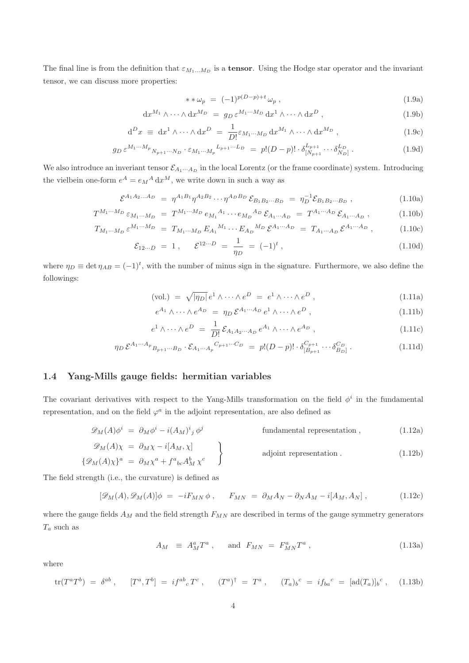The final line is from the definition that  $\varepsilon_{M_1...M_D}$  is a **tensor**. Using the Hodge star operator and the invariant tensor, we can discuss more properties:

$$
**\omega_p = (-1)^{p(D-p)+t} \omega_p , \qquad (1.9a)
$$

$$
\mathrm{d}x^{M_1} \wedge \cdots \wedge \mathrm{d}x^{M_D} = g_D \,\varepsilon^{M_1 \cdots M_D} \,\mathrm{d}x^1 \wedge \cdots \wedge \mathrm{d}x^D \,,\tag{1.9b}
$$

$$
d^{D}x \equiv dx^{1} \wedge \cdots \wedge dx^{D} = \frac{1}{D!} \varepsilon_{M_{1} \cdots M_{D}} dx^{M_{1}} \wedge \cdots \wedge dx^{M_{D}} , \qquad (1.9c)
$$

$$
g_D \,\varepsilon^{M_1\cdots M_p} \, N_{p+1}\cdots N_D \cdot \varepsilon_{M_1\cdots M_p} \, L_{p+1}\cdots L_D \ = \ p! (D-p)! \cdot \delta_{[N_{p+1}}^{L_{p+1}} \cdots \delta_{N_D]}^{L_D} \ . \tag{1.9d}
$$

We also introduce an inveriant tensor  $\mathcal{E}_{A_1\cdots A_D}$  in the local Lorentz (or the frame coordinate) system. Introducing the vielbein one-form  $e^A = e_M{}^A \, dx^M$ , we write down in such a way as

$$
\mathcal{E}^{A_1 A_2 ... A_D} = \eta^{A_1 B_1} \eta^{A_2 B_2} \cdots \eta^{A_D B_D} \mathcal{E}_{B_1 B_2 ... B_D} = \eta_D^{-1} \mathcal{E}_{B_1 B_2 ... B_D}, \qquad (1.10a)
$$

$$
T^{M_1\cdots M_D} \varepsilon_{M_1\cdots M_D} = T^{M_1\cdots M_D} e_{M_1}{}^{A_1} \cdots e_{M_D}{}^{A_D} \mathcal{E}_{A_1\cdots A_D} = T^{A_1\cdots A_D} \mathcal{E}_{A_1\cdots A_D} , \qquad (1.10b)
$$

$$
T_{M_1\cdots M_D} \,\varepsilon^{M_1\cdots M_D} \; = \; T_{M_1\cdots M_D} \, E_{A_1}{}^{M_1} \cdots E_{A_D}{}^{M_D} \, \varepsilon^{A_1\cdots A_D} \; = \; T_{A_1\cdots A_D} \, \varepsilon^{A_1\cdots A_D} \;, \tag{1.10c}
$$

$$
\mathcal{E}_{12\cdots D} = 1 , \quad \mathcal{E}^{12\cdots D} = \frac{1}{\eta_D} = (-1)^t , \qquad (1.10d)
$$

where  $\eta_D \equiv \det \eta_{AB} = (-1)^t$ , with the number of minus sign in the signature. Furthermore, we also define the followings:

$$
\text{(vol.)} = \sqrt{|\eta_D|} \, e^1 \wedge \dots \wedge e^D = e^1 \wedge \dots \wedge e^D \,, \tag{1.11a}
$$

$$
e^{A_1} \wedge \cdots \wedge e^{A_D} = \eta_D \mathcal{E}^{A_1 \cdots A_D} e^1 \wedge \cdots \wedge e^D , \qquad (1.11b)
$$

$$
e^1 \wedge \cdots \wedge e^D = \frac{1}{D!} \mathcal{E}_{A_1 A_2 \cdots A_D} e^{A_1} \wedge \cdots \wedge e^{A_D}, \qquad (1.11c)
$$

$$
\eta_D \,\mathcal{E}^{A_1\cdots A_p}{}_{B_{p+1}\cdots B_D} \cdot \mathcal{E}_{A_1\cdots A_p}{}^{C_{p+1}\cdots C_D} \ = \ p!(D-p)! \cdot \delta_{[B_{p+1}}^{C_{p+1}} \cdots \delta_{B_D]}^{C_D} \ . \tag{1.11d}
$$

## 1.4 Yang-Mills gauge fields: hermitian variables

The covariant derivatives with respect to the Yang-Mills transformation on the field  $\phi^i$  in the fundamental representation, and on the field  $\varphi^a$  in the adjoint representation, are also defined as

$$
\mathscr{D}_M(A)\phi^i = \partial_M \phi^i - i(A_M)^i{}_j \phi^j \qquad \text{fundamental representation }, \qquad (1.12a)
$$

$$
\mathcal{D}_M(A)\chi = \partial_M \chi - i[A_M, \chi] \qquad \qquad \text{adjoint representation .}
$$
\n
$$
\{\mathcal{D}_M(A)\chi\}^a = \partial_M \chi^a + f^a{}_{bc} A_M^b \chi^c \qquad \qquad \text{adjoint representation .}
$$
\n
$$
(1.12b)
$$

The field strength (i.e., the curvature) is defined as

$$
[\mathscr{D}_M(A), \mathscr{D}_M(A)]\phi = -iF_{MN}\phi, \qquad F_{MN} = \partial_M A_N - \partial_N A_M - i[A_M, A_N], \qquad (1.12c)
$$

where the gauge fields  $A_M$  and the field strength  $F_{MN}$  are described in terms of the gauge symmetry generators  $T_a$  such as

$$
A_M \equiv A_M^a T^a \ , \quad \text{and} \ F_{MN} = F_{MN}^a T^a \ , \tag{1.13a}
$$

where

$$
\text{tr}(T^a T^b) = \delta^{ab} , \qquad [T^a, T^b] = i f^{ab}{}_c T^c , \qquad (T^a)^\dagger = T^a , \qquad (T_a)_b^c = i f_{ba}^c = [\text{ad}(T_a)]_b^c , \qquad (1.13b)
$$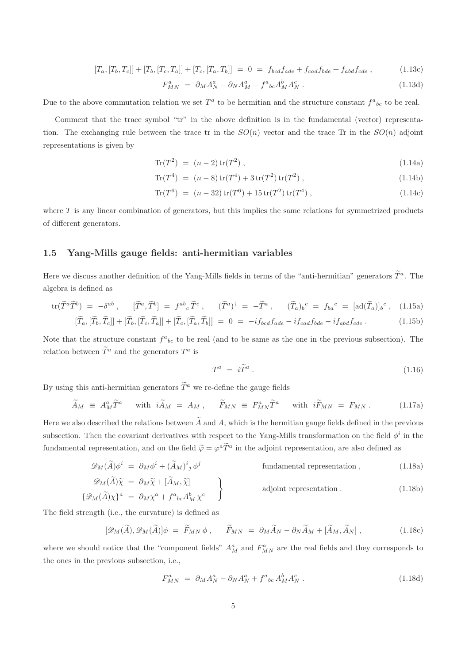$$
[T_a, [T_b, T_c]] + [T_b, [T_c, T_a]] + [T_c, [T_a, T_b]] = 0 = f_{bcd} f_{ade} + f_{cad} f_{bde} + f_{abd} f_{cde} , \qquad (1.13c)
$$

$$
F_{MN}^a = \partial_M A_N^a - \partial_N A_M^a + f^a{}_{bc} A_M^b A_N^c \,. \tag{1.13d}
$$

Due to the above commutation relation we set  $T^a$  to be hermitian and the structure constant  $f^a{}_{bc}$  to be real.

Comment that the trace symbol "tr" in the above definition is in the fundamental (vector) representation. The exchanging rule between the trace tr in the  $SO(n)$  vector and the trace Tr in the  $SO(n)$  adjoint representations is given by

$$
\text{Tr}(T^2) = (n-2)\,\text{tr}(T^2) \,,\tag{1.14a}
$$

$$
Tr(T^4) = (n-8) tr(T^4) + 3 tr(T^2) tr(T^2) , \qquad (1.14b)
$$

$$
\text{Tr}(T^6) = (n-32)\,\text{tr}(T^6) + 15\,\text{tr}(T^2)\,\text{tr}(T^4) \,,\tag{1.14c}
$$

where  $T$  is any linear combination of generators, but this implies the same relations for symmetrized products of different generators.

## 1.5 Yang-Mills gauge fields: anti-hermitian variables

Here we discuss another definition of the Yang-Mills fields in terms of the "anti-hermitian" generators  $\tilde{T}^a$ . The algebra is defined as

$$
\text{tr}(\widetilde{T}^a \widetilde{T}^b) = -\delta^{ab} , \qquad [\widetilde{T}^a, \widetilde{T}^b] = f^{ab}{}_c \widetilde{T}^c , \qquad (\widetilde{T}^a)^\dagger = -\widetilde{T}^a , \qquad (\widetilde{T}_a)_b{}^c = f_{ba}{}^c = [\text{ad}(\widetilde{T}_a)]_b{}^c , \qquad (1.15a)
$$
  

$$
[\widetilde{T}_a, [\widetilde{T}_b, \widetilde{T}_c]] + [\widetilde{T}_b, [\widetilde{T}_c, \widetilde{T}_a]] + [\widetilde{T}_c, [\widetilde{T}_a, \widetilde{T}_b]] = 0 = -i f_{bcd} f_{ade} - i f_{cad} f_{bde} - i f_{abd} f_{cde} . \qquad (1.15b)
$$

Note that the structure constant  $f^a{}_{bc}$  to be real (and to be same as the one in the previous subsection). The relation between  $\tilde{T}^a$  and the generators  $T^a$  is

$$
T^a = i\tilde{T}^a \ . \tag{1.16}
$$

By using this anti-hermitian generators  $\widetilde{T}^a$  we re-define the gauge fields

$$
\widetilde{A}_M \equiv A_M^a \widetilde{T}^a \quad \text{with } i \widetilde{A}_M = A_M , \quad \widetilde{F}_{MN} \equiv F_{MN}^a \widetilde{T}^a \quad \text{with } i \widetilde{F}_{MN} = F_{MN} . \tag{1.17a}
$$

Here we also described the relations between  $\widetilde{A}$  and A, which is the hermitian gauge fields defined in the previous subsection. Then the covariant derivatives with respect to the Yang-Mills transformation on the field  $\phi^i$  in the fundamental representation, and on the field  $\tilde{\varphi} = \varphi^a \tilde{T}^a$  in the adjoint representation, are also defined as

$$
\mathscr{D}_M(\widetilde{A})\phi^i = \partial_M \phi^i + (\widetilde{A}_M)^i{}_j \phi^j \qquad \text{fundamental representation} \,, \tag{1.18a}
$$

$$
\mathcal{D}_M(\widetilde{A})\widetilde{\chi} = \partial_M \widetilde{\chi} + [\widetilde{A}_M, \widetilde{\chi}]
$$
\n
$$
\{\mathcal{D}_M(\widetilde{A})\chi\}^a = \partial_M \chi^a + f^a{}_{bc} A_M^b \chi^c
$$
\n
$$
(1.18b)
$$
\nadjoint representation. (1.18b)

The field strength (i.e., the curvature) is defined as

$$
[\mathscr{D}_M(\widetilde{A}), \mathscr{D}_M(\widetilde{A})] \phi = \widetilde{F}_{MN} \phi , \qquad \widetilde{F}_{MN} = \partial_M \widetilde{A}_N - \partial_N \widetilde{A}_M + [\widetilde{A}_M, \widetilde{A}_N] , \qquad (1.18c)
$$

where we should notice that the "component fields"  $A_M^a$  and  $F_{MN}^a$  are the real fields and they corresponds to the ones in the previous subsection, i.e.,

$$
F_{MN}^a = \partial_M A_N^a - \partial_N A_N^a + f^a{}_{bc} A_M^b A_N^c \,. \tag{1.18d}
$$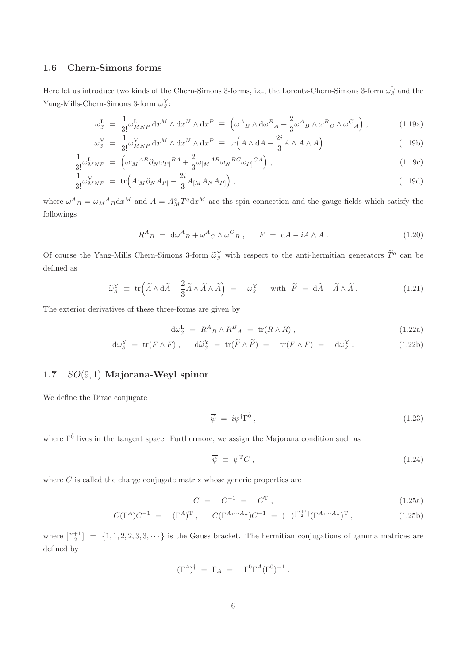## 1.6 Chern-Simons forms

Here let us introduce two kinds of the Chern-Simons 3-forms, i.e., the Lorentz-Chern-Simons 3-form  $\omega_3^L$  and the Yang-Mills-Chern-Simons 3-form  $\omega_3^Y$ :

$$
\omega_{3}^{\mathcal{L}} = \frac{1}{3!} \omega_{MNP}^{\mathcal{L}} \, dx^{M} \wedge dx^{N} \wedge dx^{P} \equiv \left( \omega^{A}{}_{B} \wedge d\omega^{B}{}_{A} + \frac{2}{3} \omega^{A}{}_{B} \wedge \omega^{B}{}_{C} \wedge \omega^{C}{}_{A} \right), \tag{1.19a}
$$

$$
\omega_{\beta}^{\mathbf{Y}} = \frac{1}{3!} \omega_{MNP}^{\mathbf{Y}} \, \mathrm{d}x^{M} \wedge \mathrm{d}x^{N} \wedge \mathrm{d}x^{P} \equiv \mathrm{tr} \Big( A \wedge \mathrm{d}A - \frac{2i}{3} A \wedge A \wedge A \Big) , \tag{1.19b}
$$
\n
$$
\omega_{\beta}^{\mathbf{Y}} = \left( \omega_{\mathbf{X}} A^{B} \partial_{\mathbf{X}} \omega_{\mathbf{X}} B^{A} + \frac{2}{3} \omega_{\mathbf{X}} A^{B} \partial_{\mathbf{X}} \omega_{\mathbf{X}} B^{C} \partial_{\mathbf{X}} \omega_{\mathbf{X}} C^{A} \right) \tag{1.19c}
$$

$$
\frac{1}{3!} \omega_{MNP}^{L} = \left( \omega_{[M}^{AB} \partial_{N} \omega_{P]}^{BA} + \frac{2}{3} \omega_{[M}^{AB} \omega_{N}^{BC} \omega_{P]}^{CA} \right),
$$
\n(1.19c)\n
$$
\frac{1}{3!} \omega_{MNP}^{Y} = \text{tr} \left( A_{[M} \partial_{N} A_{P]} - \frac{2i}{3} A_{[M} A_{N} A_{P]} \right),
$$
\n(1.19d)

where  $\omega_{B}^{A} = \omega_{M} A_{B} dx^{M}$  and  $A = A_{M}^{a} T^{a} dx^{M}$  are the spin connection and the gauge fields which satisfy the followings

$$
R^{A}{}_{B} = d\omega^{A}{}_{B} + \omega^{A}{}_{C} \wedge \omega^{C}{}_{B} , \qquad F = dA - iA \wedge A . \tag{1.20}
$$

Of course the Yang-Mills Chern-Simons 3-form  $\tilde{\omega}_3^Y$  with respect to the anti-hermitian generators  $\tilde{T}^a$  can be defined as

$$
\widetilde{\omega}_{\mathcal{S}}^Y \equiv \text{tr}\Big(\widetilde{A} \wedge d\widetilde{A} + \frac{2}{3}\widetilde{A} \wedge \widetilde{A} \wedge \widetilde{A}\Big) = -\omega_{\mathcal{S}}^Y \quad \text{with } \widetilde{F} = d\widetilde{A} + \widetilde{A} \wedge \widetilde{A} \,. \tag{1.21}
$$

The exterior derivatives of these three-forms are given by

$$
d\omega_{\beta}^{L} = R^{A}{}_{B} \wedge R^{B}{}_{A} = \text{tr}(R \wedge R) , \qquad (1.22a)
$$

$$
d\omega_{\mathcal{S}}^Y = \text{tr}(F \wedge F), \qquad d\widetilde{\omega}_{\mathcal{S}}^Y = \text{tr}(\widetilde{F} \wedge \widetilde{F}) = -\text{tr}(F \wedge F) = -d\omega_{\mathcal{S}}^Y. \tag{1.22b}
$$

## 1.7 SO(9, 1) Majorana-Weyl spinor

We define the Dirac conjugate

$$
\overline{\psi} = i\psi^{\dagger} \Gamma^{\hat{0}} , \qquad (1.23)
$$

where  $\Gamma^{\hat{0}}$  lives in the tangent space. Furthermore, we assign the Majorana condition such as

$$
\overline{\psi} \equiv \psi^{\mathrm{T}} C \,, \tag{1.24}
$$

where  $C$  is called the charge conjugate matrix whose generic properties are

$$
C = -C^{-1} = -C^{T}, \qquad (1.25a)
$$

$$
C(\Gamma^A)C^{-1} = -(\Gamma^A)^T, \qquad C(\Gamma^{A_1 \cdots A_n})C^{-1} = (-)^{\left[\frac{n+1}{2}\right]}(\Gamma^{A_1 \cdots A_n})^T, \qquad (1.25b)
$$

where  $\left[\frac{n+1}{2}\right] = \{1, 1, 2, 2, 3, 3, \cdots\}$  is the Gauss bracket. The hermitian conjugations of gamma matrices are defined by

$$
(\Gamma^A)^\dagger\ =\ \Gamma_A\ =\ -\Gamma^{\hat 0}\Gamma^A(\Gamma^{\hat 0})^{-1}\ .
$$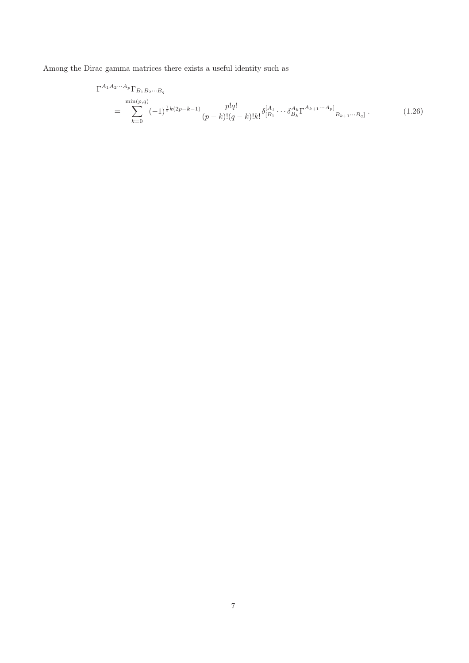Among the Dirac gamma matrices there exists a useful identity such as

$$
\Gamma^{A_1 A_2 \cdots A_p} \Gamma_{B_1 B_2 \cdots B_q}
$$
\n
$$
= \sum_{k=0}^{\min(p,q)} (-1)^{\frac{1}{2}k(2p-k-1)} \frac{p!q!}{(p-k)!(q-k)!k!} \delta_{[B_1}^{[A_1} \cdots \delta_{B_k}^{A_k} \Gamma^{A_{k+1} \cdots A_p]}_{B_{k+1} \cdots B_q]}.
$$
\n(1.26)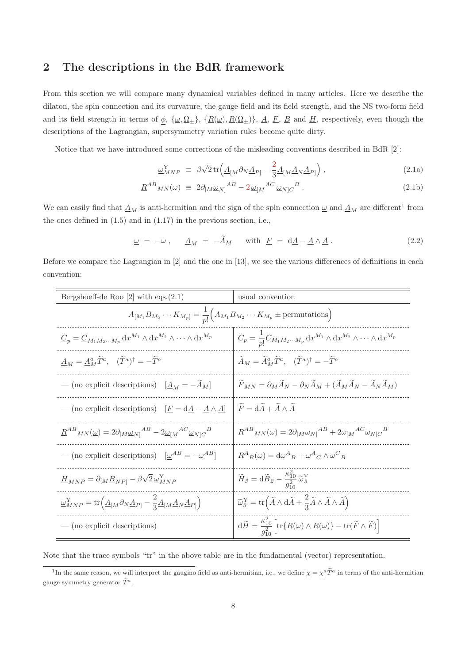# 2 The descriptions in the BdR framework

From this section we will compare many dynamical variables defined in many articles. Here we describe the dilaton, the spin connection and its curvature, the gauge field and its field strength, and the NS two-form field and its field strength in terms of  $\phi$ ,  $\{\underline{\omega}, \underline{\Omega}_\pm\}$ ,  $\{R(\underline{\omega}), R(\underline{\Omega}_\pm)\}$ ,  $\underline{A}$ ,  $\underline{F}$ ,  $\underline{B}$  and  $\underline{H}$ , respectively, even though the descriptions of the Lagrangian, supersymmetry variation rules become quite dirty.

Notice that we have introduced some corrections of the misleading conventions described in BdR [2]:

$$
\underline{\omega}_{MNP}^{\mathbf{Y}} \equiv \beta \sqrt{2} \operatorname{tr} \left( \underline{A}_{[M} \partial_N \underline{A}_{P]} - \frac{2}{3} \underline{A}_{[M} \underline{A}_N \underline{A}_{P]} \right), \tag{2.1a}
$$

$$
\underline{R}^{AB}{}_{MN}(\omega) \equiv 2\partial_{[M}\underline{\omega}_{N]}{}^{AB} - 2\,\underline{\omega}_{[M}{}^{AC}\underline{\omega}_{N]C}{}^{B} \,. \tag{2.1b}
$$

We can easily find that  $\underline{A}_M$  is anti-hermitian and the sign of the spin connection  $\underline{\omega}$  and  $\underline{A}_M$  are different<sup>1</sup> from the ones defined in  $(1.5)$  and in  $(1.17)$  in the previous section, i.e.,

$$
\underline{\omega} = -\omega \,, \qquad \underline{A}_M = -\widetilde{A}_M \qquad \text{with } \underline{F} = \mathrm{d}\underline{A} - \underline{A} \wedge \underline{A} \,.
$$
 (2.2)

Before we compare the Lagrangian in [2] and the one in [13], we see the various differences of definitions in each convention:

| Bergshoeff-de Roo $[2]$ with eqs. $(2.1)$                                                                                                                          | usual convention                                                                                                                                                      |
|--------------------------------------------------------------------------------------------------------------------------------------------------------------------|-----------------------------------------------------------------------------------------------------------------------------------------------------------------------|
| $A_{[M_1}B_{M_2}\cdots K_{M_p]}=\frac{1}{p!}\Big(A_{M_1}B_{M_2}\cdots K_{M_p}\pm \text{permutations}\Big)$                                                         |                                                                                                                                                                       |
| $\underline{C}_p = \underline{C}_{M_1M_2\cdots M_p} dx^{M_1} \wedge dx^{M_2} \wedge \cdots \wedge dx^{M_p}$                                                        | $C_p = \frac{1}{p!} C_{M_1 M_2 \cdots M_p} \, dx^{M_1} \wedge dx^{M_2} \wedge \cdots \wedge dx^{M_p}$                                                                 |
| $\underline{A}_M = \underline{A}_M^a \widetilde{T}^a, \quad (\widetilde{T}^a)^\dagger = -\widetilde{T}^a$                                                          | $\widetilde{A}_M = \widetilde{A}_M^a \widetilde{T}^a$ , $(\widetilde{T}^a)^\dagger = -\widetilde{T}^a$                                                                |
| — (no explicit descriptions) $\left[\underline{A}_M = -A_M\right]$                                                                                                 | $\widetilde{F}_{MN} = \partial_M \widetilde{A}_N - \partial_N \widetilde{A}_M + (\widetilde{A}_M \widetilde{A}_N - \widetilde{A}_N \widetilde{A}_M)$                  |
| — (no explicit descriptions) $[\underline{F} = d\underline{A} - \underline{A} \wedge \underline{A}]$                                                               | $\widetilde{F} = d\widetilde{A} + \widetilde{A} \wedge \widetilde{A}$                                                                                                 |
| $\underline{R}^{AB}{}_{MN}(\underline{\omega}) = 2\partial_{[M}\underline{\omega}_{N]}{}^{AB} - 2\underline{\omega}_{[M}{}^{AC}\underline{\omega}_{N]C}{}^{B}$     | $R^{AB}_{MN}(\omega) = 2\partial_{[M}\omega_{N]}^{AB} + 2\omega_{[M}^{AC}\omega_{N]C}^{B}$                                                                            |
| — (no explicit descriptions) $\left[\underline{\omega}^{AB} = -\omega^{AB}\right]$                                                                                 | $R^A{}_B(\omega) = d\omega^A{}_B + \omega^A{}_C \wedge \omega^C{}_B$                                                                                                  |
| $\underline{H}_{MNP} = \partial_{[M}\underline{B}_{NP]} - \beta\sqrt{2}\underline{\omega}_{MNP}^{\mathrm{Y}}$                                                      | $\widetilde{H}_{3}=\mathrm{d}\widetilde{B}_{2}-\frac{\kappa_{10}^{2}}{a_{2}^{2}}\widetilde{\omega}_{3}^{\mathrm{Y}}$                                                  |
| $\omega_{MNP}^{\rm Y} = {\rm tr} \Big( \underline{A}_{[M} \partial_N \underline{A}_{P]} - \frac{2}{3} \underline{A}_{[M} \underline{A}_N \underline{A}_{P]} \Big)$ | $\widetilde{\omega}_{3}^{Y} = \text{tr}\left(\widetilde{A} \wedge d\widetilde{A} + \frac{2}{3}\widetilde{A} \wedge \widetilde{A} \wedge \widetilde{A}\right)$         |
| $-$ (no explicit descriptions)                                                                                                                                     | $\mathrm{d}\widetilde{H} = \frac{\kappa_{10}^2}{q_{10}^2} \Big[ \mathrm{tr} \{ R(\omega) \wedge R(\omega) \} - \mathrm{tr}(\widetilde{F} \wedge \widetilde{F}) \Big]$ |

Note that the trace symbols "tr" in the above table are in the fundamental (vector) representation.

<sup>&</sup>lt;sup>1</sup>In the same reason, we will interpret the gaugino field as anti-hermitian, i.e., we define  $\chi = \chi^a \tilde{T}^a$  in terms of the anti-hermitian gauge symmetry generator  $\widetilde{T}^a$ .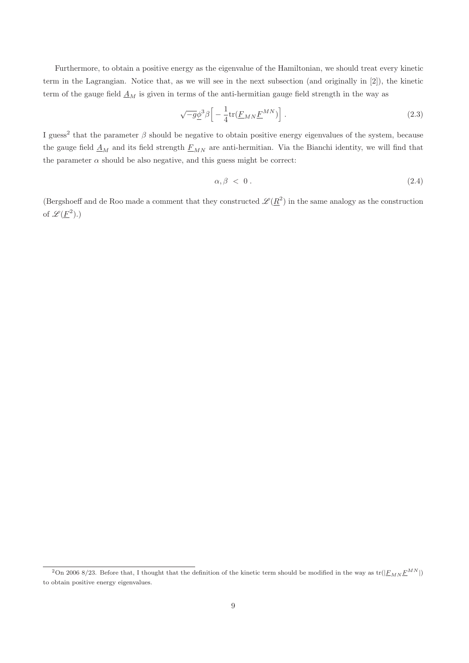Furthermore, to obtain a positive energy as the eigenvalue of the Hamiltonian, we should treat every kinetic term in the Lagrangian. Notice that, as we will see in the next subsection (and originally in [2]), the kinetic term of the gauge field  $\underline{A}_M$  is given in terms of the anti-hermitian gauge field strength in the way as

$$
\sqrt{-g}\underline{\phi}^3 \beta \left[ -\frac{1}{4} \text{tr}(\underline{F}_{MN} \underline{F}^{MN}) \right]. \tag{2.3}
$$

I guess<sup>2</sup> that the parameter  $\beta$  should be negative to obtain positive energy eigenvalues of the system, because the gauge field  $\underline{A}_M$  and its field strength  $\underline{F}_{MN}$  are anti-hermitian. Via the Bianchi identity, we will find that the parameter  $\alpha$  should be also negative, and this guess might be correct:

$$
\alpha, \beta < 0 \tag{2.4}
$$

(Bergshoeff and de Roo made a comment that they constructed  $\mathscr{L}(\underline{R}^2)$  in the same analogy as the construction of  $\mathscr{L}(\underline{F}^2)$ .)

<sup>&</sup>lt;sup>2</sup>On 2006 8/23. Before that, I thought that the definition of the kinetic term should be modified in the way as  $\text{tr}(|E_{MN}E^{MN}|)$ to obtain positive energy eigenvalues.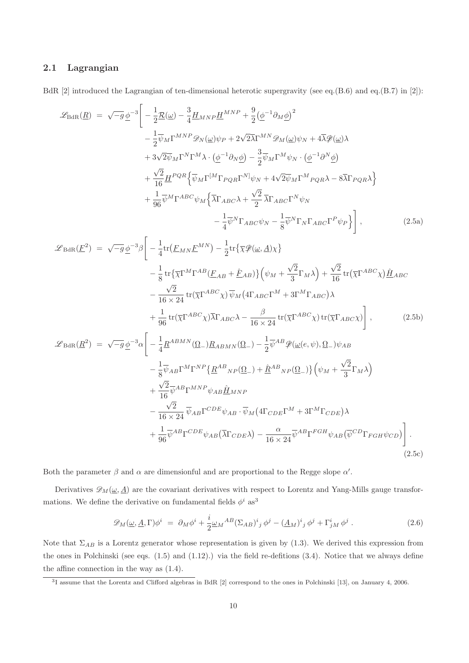## 2.1 Lagrangian

BdR [2] introduced the Lagrangian of ten-dimensional heterotic supergravity (see eq.(B.6) and eq.(B.7) in [2]):

$$
\mathcal{L}_{\text{BdR}}(\underline{R}) = \sqrt{-g} \underline{\phi}^{-3} \Bigg[ -\frac{1}{2} \underline{\mathcal{R}}(\underline{\omega}) - \frac{3}{4} \underline{H}_{MNP} \underline{H}^{MNP} + \frac{9}{2} (\underline{\phi}^{-1} \partial_M \underline{\phi})^2 - \frac{1}{2} \overline{\psi}_M \Gamma^{MNP} \mathcal{D}_N(\underline{\omega}) \psi_P + 2 \sqrt{2} \overline{\lambda} \Gamma^{MN} \mathcal{D}_M(\underline{\omega}) \psi_N + 4 \overline{\lambda} \mathcal{D}(\underline{\omega}) \lambda + 3 \sqrt{2} \overline{\psi}_M \Gamma^N \Gamma^M \lambda \cdot (\underline{\phi}^{-1} \partial_N \underline{\phi}) - \frac{3}{2} \overline{\psi}_M \Gamma^M \psi_N \cdot (\underline{\phi}^{-1} \partial^N \underline{\phi}) + \frac{\sqrt{2}}{16} \underline{H}^{PQR} \Big\{ \overline{\psi}_M \Gamma^{[M} \Gamma_{PQR} \Gamma^{N]} \psi_N + 4 \sqrt{2} \overline{\psi}_M \Gamma^M_{PQR} \lambda - 8 \overline{\lambda} \Gamma_{PQR} \lambda \Big\} + \frac{1}{96} \overline{\psi}^M \Gamma^{ABC} \psi_M \Big\{ \overline{\lambda} \Gamma_{ABC} \lambda + \frac{\sqrt{2}}{2} \overline{\lambda} \Gamma_{ABC} \Gamma^N \psi_N - \frac{1}{4} \overline{\psi}^N \Gamma_{ABC} \psi_N - \frac{1}{8} \overline{\psi}^N \Gamma_N \Gamma_{ABC} \Gamma^P \psi_P \Big\} \Bigg] ,
$$
(2.5a)

$$
\mathcal{L}_{\text{BdR}}(\underline{F}^2) = \sqrt{-g} \underline{\phi}^{-3} \beta \Bigg[ -\frac{1}{4} \text{tr} \big( \underline{F}_{MN} \underline{F}^{MN} \big) - \frac{1}{2} \text{tr} \{ \overline{\chi} \mathcal{P}(\underline{\omega}, \underline{A}) \chi \} \Bigg]
$$
  
\n
$$
- \frac{1}{8} \text{tr} \{ \overline{\chi} \Gamma^M \Gamma^{AB} (\underline{F}_{AB} + \hat{E}_{AB}) \} \Big( \psi_M + \frac{\sqrt{2}}{3} \Gamma_M \lambda \Big) + \frac{\sqrt{2}}{16} \text{tr} \big( \overline{\chi} \Gamma^{ABC} \chi \big) \underline{\hat{H}}_{ABC}
$$
  
\n
$$
- \frac{\sqrt{2}}{16 \times 24} \text{tr} \big( \overline{\chi} \Gamma^{ABC} \chi \big) \overline{\psi}_M \big( 4 \Gamma_{ABC} \Gamma^M + 3 \Gamma^M \Gamma_{ABC} \big) \lambda
$$
  
\n
$$
+ \frac{1}{96} \text{tr} \big( \overline{\chi} \Gamma^{ABC} \chi \big) \overline{\lambda} \Gamma_{ABC} \lambda - \frac{\beta}{16 \times 24} \text{tr} \big( \overline{\chi} \Gamma^{ABC} \chi \big) \text{tr} \big( \overline{\chi} \Gamma_{ABC} \chi \big) \Bigg], \qquad (2.5b)
$$
  
\n
$$
\mathcal{L}_{\text{BdR}}(\underline{R}^2) = \sqrt{-g} \underline{\phi}^{-3} \alpha \Bigg[ -\frac{1}{4} \underline{R}^{ABMN} (\underline{\Omega}_-) \underline{R}_{ABMN} (\underline{\Omega}_-) - \frac{1}{2} \overline{\psi}^{AB} \mathcal{P}(\underline{\omega}(e, \psi), \underline{\Omega}_-) \psi_{AB}
$$

$$
-\frac{1}{8}\overline{\psi}_{AB}\Gamma^{M}\Gamma^{NP}\left\{\underline{R}^{AB}{}_{NP}(\underline{\Omega}_{-})+\underline{\hat{R}}^{AB}{}_{NP}(\underline{\Omega}_{-})\right\}\left(\psi_{M}+\frac{\sqrt{2}}{3}\Gamma_{M}\lambda\right) +\frac{\sqrt{2}}{16}\overline{\psi}^{AB}\Gamma^{MNP}\psi_{AB}\underline{\hat{H}}_{MNP} -\frac{\sqrt{2}}{16\times24}\overline{\psi}_{AB}\Gamma^{CDE}\psi_{AB}\cdot\overline{\psi}_{M}\left(4\Gamma_{CDE}\Gamma^{M}+3\Gamma^{M}\Gamma_{CDE}\right)\lambda +\frac{1}{96}\overline{\psi}^{AB}\Gamma^{CDE}\psi_{AB}\left(\overline{\lambda}\Gamma_{CDE}\lambda\right)-\frac{\alpha}{16\times24}\overline{\psi}^{AB}\Gamma^{FGH}\psi_{AB}\left(\overline{\psi}^{CD}\Gamma_{FGH}\psi_{CD}\right)\right].
$$
\n(2.5c)

Both the parameter  $\beta$  and  $\alpha$  are dimensionful and are proportional to the Regge slope  $\alpha'$ .

Derivatives  $\mathscr{D}_M(\underline{\omega}, \underline{A})$  are the covariant derivatives with respect to Lorentz and Yang-Mills gauge transformations. We define the derivative on fundamental fields  $\phi^i$  as<sup>3</sup>

$$
\mathscr{D}_M(\underline{\omega}, \underline{A}, \Gamma)\phi^i = \partial_M \phi^i + \frac{i}{2} \underline{\omega}_M{}^{AB} (\Sigma_{AB})^i{}_j \phi^j - (\underline{A}_M)^i{}_j \phi^j + \Gamma^i_{jM} \phi^j . \tag{2.6}
$$

Note that  $\Sigma_{AB}$  is a Lorentz generator whose representation is given by (1.3). We derived this expression from the ones in Polchinski (see eqs. (1.5) and (1.12).) via the field re-defitions (3.4). Notice that we always define the affine connection in the way as (1.4).

<sup>&</sup>lt;sup>3</sup>I assume that the Lorentz and Clifford algebras in BdR [2] correspond to the ones in Polchinski [13], on January 4, 2006.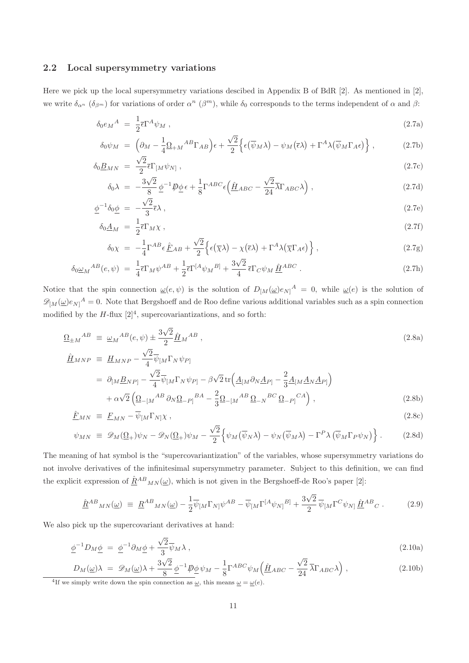## 2.2 Local supersymmetry variations

Here we pick up the local supersymmetry variations descibed in Appendix B of BdR [2]. As mentioned in [2], we write  $\delta_{\alpha^n}$  ( $\delta_{\beta^m}$ ) for variations of order  $\alpha^n$  ( $\beta^m$ ), while  $\delta_0$  corresponds to the terms independent of  $\alpha$  and  $\beta$ :

$$
\delta_0 e_M{}^A = \frac{1}{2} \bar{\epsilon} \Gamma^A \psi_M \,, \tag{2.7a}
$$

$$
\delta_0 \psi_M = \left( \partial_M - \frac{1}{4} \Omega_{+M}{}^{AB} \Gamma_{AB} \right) \epsilon + \frac{\sqrt{2}}{2} \left\{ \epsilon (\overline{\psi}_M \lambda) - \psi_M (\overline{\epsilon} \lambda) + \Gamma^A \lambda (\overline{\psi}_M \Gamma_A \epsilon) \right\}, \tag{2.7b}
$$

$$
\delta_0 \underline{B}_{MN} = \frac{\sqrt{2}}{2} \overline{\epsilon} \Gamma_{[M} \psi_{N]}, \qquad (2.7c)
$$

$$
\delta_0 \lambda = -\frac{3\sqrt{2}}{8} \underline{\phi}^{-1} \cancel{D} \underline{\phi} \epsilon + \frac{1}{8} \Gamma^{ABC} \epsilon \Big( \underline{\hat{H}}_{ABC} - \frac{\sqrt{2}}{24} \overline{\lambda} \Gamma_{ABC} \lambda \Big) , \qquad (2.7d)
$$

$$
\underline{\phi}^{-1}\delta_0 \underline{\phi} = -\frac{\sqrt{2}}{3}\overline{\epsilon}\lambda\,,\tag{2.7e}
$$

$$
\delta_0 \underline{A}_M = \frac{1}{2} \overline{\epsilon} \Gamma_M \chi \,, \tag{2.7f}
$$

$$
\delta_0 \chi = -\frac{1}{4} \Gamma^{AB} \epsilon \hat{E}_{AB} + \frac{\sqrt{2}}{2} \left\{ \epsilon (\overline{\chi} \lambda) - \chi (\overline{\epsilon} \lambda) + \Gamma^A \lambda (\overline{\chi} \Gamma_A \epsilon) \right\}, \tag{2.7g}
$$

$$
\delta_0 \underline{\omega}_M{}^{AB}(e,\psi) = \frac{1}{4} \overline{\epsilon} \Gamma_M \psi^{AB} + \frac{1}{2} \overline{\epsilon} \Gamma^{[A} \psi_M{}^{B]} + \frac{3\sqrt{2}}{4} \overline{\epsilon} \Gamma_C \psi_M \hat{\underline{H}}^{ABC} . \tag{2.7h}
$$

Notice that the spin connection  $\underline{\omega}(e,\psi)$  is the solution of  $D_{[M]}(\underline{\omega})e_{N]}^A = 0$ , while  $\underline{\omega}(e)$  is the solution of  $\mathscr{D}_{[M]}(\underline{\omega})e_{N]}^{A} = 0.$  Note that Bergshoeff and de Roo define various additional variables such as a spin connection modified by the  $H$ -flux  $[2]^4$ , supercovariantizations, and so forth:

$$
\underline{\Omega}_{\pm M}{}^{AB} \equiv \underline{\omega}_M{}^{AB}(e,\psi) \pm \frac{3\sqrt{2}}{2} \hat{\underline{H}}_M{}^{AB} \,,\tag{2.8a}
$$

$$
\underline{\hat{H}}_{MNP} \equiv \underline{H}_{MNP} - \frac{\sqrt{2}}{4} \overline{\psi}_{[M} \Gamma_N \psi_{P]}
$$
\n
$$
= \partial_{[M} \underline{B}_{NP]} - \frac{\sqrt{2}}{4} \overline{\psi}_{[M} \Gamma_N \psi_{P]} - \beta \sqrt{2} \operatorname{tr} \left( \underline{A}_{[M} \partial_N \underline{A}_{P]} - \frac{2}{3} \underline{A}_{[M} \underline{A}_N \underline{A}_{P]} \right)
$$
\n
$$
+ \alpha \sqrt{2} \left( \underline{\Omega}_{-[M}{}^{AB} \partial_N \underline{\Omega}_{-P]}{}^{BA} - \frac{2}{3} \underline{\Omega}_{-[M}{}^{AB} \underline{\Omega}_{-N}{}^{BC} \underline{\Omega}_{-P]}{}^{CA} \right),
$$
\n(2.8b)

$$
\underline{\hat{F}}_{MN} \equiv \underline{F}_{MN} - \overline{\psi}_{[M} \Gamma_{N]} \chi \,, \tag{2.8c}
$$

$$
\psi_{MN} \equiv \mathscr{D}_M(\underline{\Omega}_+) \psi_N - \mathscr{D}_N(\underline{\Omega}_+) \psi_M - \frac{\sqrt{2}}{2} \Big\{ \psi_M(\overline{\psi}_N \lambda) - \psi_N(\overline{\psi}_M \lambda) - \Gamma^P \lambda (\overline{\psi}_M \Gamma_P \psi_N) \Big\} . \tag{2.8d}
$$

The meaning of hat symbol is the "supercovariantization" of the variables, whose supersymmetry variations do not involve derivatives of the infinitesimal supersymmetry parameter. Subject to this definition, we can find the explicit expression of  $\hat{R}^{AB}{}_{MN}(\omega)$ , which is not given in the Bergshoeff-de Roo's paper [2]:

$$
\underline{\hat{R}}^{AB}{}_{MN}(\underline{\omega}) \equiv \underline{R}^{AB}{}_{MN}(\underline{\omega}) - \frac{1}{2}\overline{\psi}_{[M}\Gamma_{N]}\psi^{AB} - \overline{\psi}_{[M}\Gamma^{[A}\psi_{N]}{}^{B]} + \frac{3\sqrt{2}}{2}\overline{\psi}_{[M}\Gamma^{C}\psi_{N]}\underline{\hat{H}}^{AB}{}_{C} \,. \tag{2.9}
$$

We also pick up the supercovariant derivatives at hand:

$$
\underline{\phi}^{-1}D_M\underline{\phi} = \underline{\phi}^{-1}\partial_M\underline{\phi} + \frac{\sqrt{2}}{3}\overline{\psi}_M\lambda , \qquad (2.10a)
$$

$$
D_M(\underline{\omega})\lambda = \mathcal{D}_M(\underline{\omega})\lambda + \frac{3\sqrt{2}}{8}\underline{\phi}^{-1}\underline{D}\underline{\phi}\psi_M - \frac{1}{8}\Gamma^{ABC}\psi_M\left(\underline{\hat{H}}_{ABC} - \frac{\sqrt{2}}{24}\overline{\lambda}\Gamma_{ABC}\lambda\right),
$$
\n(2.10b)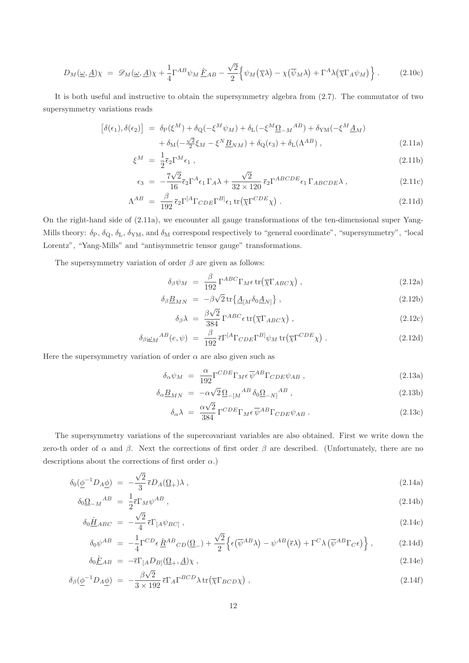$$
D_M(\underline{\omega}, \underline{A})\chi = \mathscr{D}_M(\underline{\omega}, \underline{A})\chi + \frac{1}{4}\Gamma^{AB}\psi_M \hat{F}_{AB} - \frac{\sqrt{2}}{2}\Big\{\psi_M(\overline{\chi}\lambda) - \chi(\overline{\psi}_M\lambda) + \Gamma^A\lambda(\overline{\chi}\Gamma_A\psi_M)\Big\}.
$$
 (2.10c)

It is both useful and instructive to obtain the supersymmetry algebra from (2.7). The commutator of two supersymmetry variations reads

$$
\begin{aligned}\n\left[\delta(\epsilon_1), \delta(\epsilon_2)\right] &= \delta_{\rm P}(\xi^M) + \delta_{\rm Q}(-\xi^M \psi_M) + \delta_{\rm L}(-\xi^M \underline{\Omega}_{-M}{}^{AB}) + \delta_{\rm YM}(-\xi^M \underline{A}_M) \\
&\quad + \delta_{\rm M}(-\frac{\sqrt{2}}{2}\xi_M - \xi^N \underline{B}_{NM}) + \delta_{\rm Q}(\epsilon_3) + \delta_{\rm L}(\Lambda^{AB})\,,\n\end{aligned} \tag{2.11a}
$$

$$
\xi^M = \frac{1}{2} \bar{\epsilon}_2 \Gamma^M \epsilon_1 \,, \tag{2.11b}
$$

$$
\epsilon_3 = -\frac{7\sqrt{2}}{16}\bar{\epsilon}_2\Gamma^A\epsilon_1\Gamma_A\lambda + \frac{\sqrt{2}}{32\times120}\bar{\epsilon}_2\Gamma^{ABCDE}\epsilon_1\Gamma_{ABCDE}\lambda\,,\tag{2.11c}
$$

$$
\Lambda^{AB} = \frac{\beta}{192} \bar{\epsilon}_2 \Gamma^{[A} \Gamma_{CDE} \Gamma^{B]} \epsilon_1 \operatorname{tr} (\overline{\chi} \Gamma^{CDE} \chi) . \tag{2.11d}
$$

On the right-hand side of (2.11a), we encounter all gauge transformations of the ten-dimensional super Yang-Mills theory:  $\delta_P$ ,  $\delta_Q$ ,  $\delta_L$ ,  $\delta_{YM}$ , and  $\delta_M$  correspond respectively to "general coordinate", "supersymmetry", "local Lorentz", "Yang-Mills" and "antisymmetric tensor gauge" transformations.

The supersymmetry variation of order  $\beta$  are given as follows:

$$
\delta_{\beta}\psi_M = \frac{\beta}{192} \Gamma^{ABC} \Gamma_M \epsilon \operatorname{tr}(\overline{\chi} \Gamma_{ABC} \chi) , \qquad (2.12a)
$$

$$
\delta_{\beta} \underline{B}_{MN} = -\beta \sqrt{2} \operatorname{tr} \{ \underline{A}_{[M} \delta_0 \underline{A}_{N]} \}, \qquad (2.12b)
$$

$$
\delta_{\beta} \lambda = \frac{\beta \sqrt{2}}{384} \Gamma^{ABC} \epsilon \operatorname{tr} (\overline{\chi} \Gamma_{ABC} \chi) , \qquad (2.12c)
$$

$$
\delta_{\beta}\underline{\omega}_M{}^{AB}(e,\psi) = \frac{\beta}{192} \bar{\epsilon} \Gamma^{[A}\Gamma_{CDE}\Gamma^{B]}\psi_M \operatorname{tr}(\overline{\chi}\Gamma^{CDE}\chi) . \tag{2.12d}
$$

Here the supersymmetry variation of order  $\alpha$  are also given such as

$$
\delta_{\alpha}\psi_M = \frac{\alpha}{192} \Gamma^{CDE} \Gamma_M \epsilon \overline{\psi}^{AB} \Gamma_{CDE} \psi_{AB} , \qquad (2.13a)
$$

$$
\delta_{\alpha} \underline{B}_{MN} = -\alpha \sqrt{2} \, \underline{\Omega}_{-[M}{}^{AB} \, \delta_0 \underline{\Omega}_{-N]}{}^{AB} \,, \tag{2.13b}
$$

$$
\delta_{\alpha}\lambda = \frac{\alpha\sqrt{2}}{384} \Gamma^{CDE} \Gamma_M \epsilon \overline{\psi}^{AB} \Gamma_{CDE} \psi_{AB} . \qquad (2.13c)
$$

The supersymmetry variations of the supercovariant variables are also obtained. First we write down the zero-th order of  $\alpha$  and  $\beta$ . Next the corrections of first order  $\beta$  are described. (Unfortunately, there are no descriptions about the corrections of first order  $\alpha$ .)

$$
\delta_0(\underline{\phi}^{-1}D_A\underline{\phi}) = -\frac{\sqrt{2}}{3}\overline{\epsilon}D_A(\underline{\Omega}_+) \lambda , \qquad (2.14a)
$$

$$
\delta_0 \underline{\Omega}_{-M}{}^{AB} = \frac{1}{2} \overline{\epsilon} \Gamma_M \psi^{AB} , \qquad (2.14b)
$$

$$
\delta_0 \hat{\underline{H}}_{ABC} = -\frac{\sqrt{2}}{4} \bar{\epsilon} \Gamma_{[A} \psi_{BC]}, \qquad (2.14c)
$$

$$
\delta_0 \psi^{AB} = -\frac{1}{4} \Gamma^{CD} \epsilon \hat{\underline{R}}^{AB} C_D(\Omega_-) + \frac{\sqrt{2}}{2} \left\{ \epsilon (\overline{\psi}^{AB} \lambda) - \psi^{AB} (\overline{\epsilon} \lambda) + \Gamma^C \lambda (\overline{\psi}^{AB} \Gamma_C \epsilon) \right\}, \tag{2.14d}
$$

$$
\delta_0 \hat{F}_{AB} = -\bar{\epsilon} \Gamma_{[A} D_{B]}(\Omega_+, \underline{A}) \chi \,, \tag{2.14e}
$$

$$
\delta_{\beta}(\underline{\phi}^{-1}D_{A}\underline{\phi}) = -\frac{\beta\sqrt{2}}{3\times192} \bar{\epsilon} \Gamma_{A} \Gamma^{BCD} \lambda \operatorname{tr}(\overline{\chi}\Gamma_{BCD}\chi) , \qquad (2.14f)
$$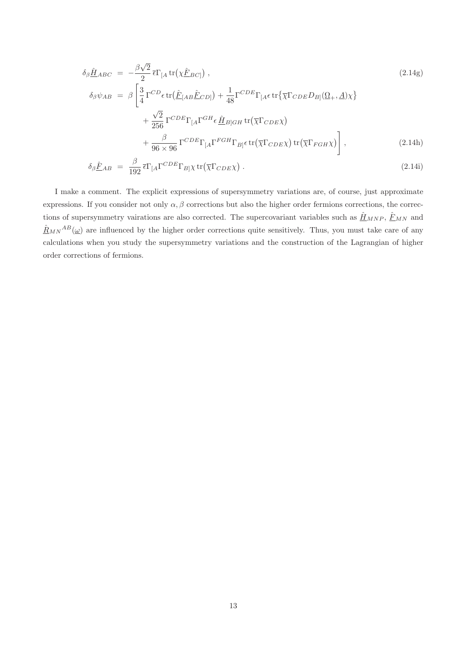$$
\delta_{\beta} \hat{\underline{H}}_{ABC} = -\frac{\beta\sqrt{2}}{2} \bar{\epsilon} \Gamma_{[A} \text{tr}\left(\chi \hat{\underline{F}}_{BC}\right),
$$
\n
$$
\delta_{\beta} \psi_{AB} = \beta \left[ \frac{3}{4} \Gamma^{CD} \epsilon \text{tr}\left(\hat{\underline{F}}_{[AB} \hat{\underline{F}}_{CD]}\right) + \frac{1}{48} \Gamma^{CDE} \Gamma_{[A} \epsilon \text{tr}\left\{\overline{\chi} \Gamma_{CDE} D_{B} \right\} \left(\Omega_{+}, \underline{A}\right) \chi \right\} + \frac{\sqrt{2}}{256} \Gamma^{CDE} \Gamma_{[A} \Gamma^{GH} \epsilon \hat{\underline{H}}_{B]GH} \text{tr}\left(\overline{\chi} \Gamma_{CDE} \chi\right) + \frac{\beta}{96 \times 96} \Gamma^{CDE} \Gamma_{[A} \Gamma^{FGH} \Gamma_{B]} \epsilon \text{tr}\left(\overline{\chi} \Gamma_{CDE} \chi\right) \text{tr}\left(\overline{\chi} \Gamma_{FGH} \chi\right) \right],
$$
\n(2.14h)

$$
\delta_{\beta} \hat{\underline{F}}_{AB} = \frac{\beta}{192} \bar{\epsilon} \Gamma_{[A} \Gamma^{CDE} \Gamma_{B] \chi} \text{tr}(\overline{\chi} \Gamma_{CDE} \chi) . \tag{2.14}
$$

I make a comment. The explicit expressions of supersymmetry variations are, of course, just approximate expressions. If you consider not only  $\alpha$ ,  $\beta$  corrections but also the higher order fermions corrections, the corrections of supersymmetry vairations are also corrected. The supercovariant variables such as  $\underline{\hat{H}}_{MNP}$ ,  $\underline{\hat{F}}_{MN}$  and  $\hat{R}_{MN}{}^{AB}(\omega)$  are influenced by the higher order corrections quite sensitively. Thus, you must take care of any calculations when you study the supersymmetry variations and the construction of the Lagrangian of higher order corrections of fermions.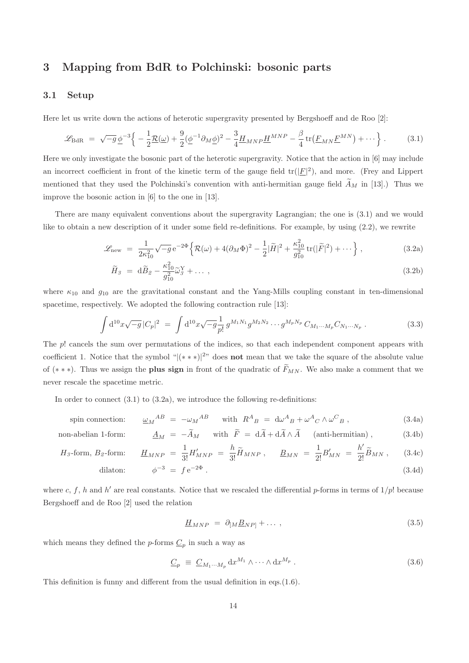# 3 Mapping from BdR to Polchinski: bosonic parts

#### 3.1 Setup

Here let us write down the actions of heterotic supergravity presented by Bergshoeff and de Roo [2]:

$$
\mathcal{L}_{\text{BdR}} = \sqrt{-g} \underline{\phi}^{-3} \Big\{ -\frac{1}{2} \underline{\mathcal{R}}(\underline{\omega}) + \frac{9}{2} (\underline{\phi}^{-1} \partial_M \underline{\phi})^2 - \frac{3}{4} \underline{H}_{MNP} \underline{H}^{MNP} - \frac{\beta}{4} \operatorname{tr}(\underline{F}_{MN} \underline{F}^{MN}) + \cdots \Big\} \,. \tag{3.1}
$$

Here we only investigate the bosonic part of the heterotic supergravity. Notice that the action in [6] may include an incorrect coefficient in front of the kinetic term of the gauge field  $tr(|\underline{F}|^2)$ , and more. (Frey and Lippert mentioned that they used the Polchinski's convention with anti-hermitian gauge field  $\widetilde{A}_M$  in [13].) Thus we improve the bosonic action in [6] to the one in [13].

There are many equivalent conventions about the supergravity Lagrangian; the one is (3.1) and we would like to obtain a new description of it under some field re-definitions. For example, by using (2.2), we rewrite

$$
\mathcal{L}_{\text{new}} = \frac{1}{2\kappa_{10}^2} \sqrt{-g} e^{-2\Phi} \left\{ \mathcal{R}(\omega) + 4(\partial_M \Phi)^2 - \frac{1}{2} |\tilde{H}|^2 + \frac{\kappa_{10}^2}{g_{10}^2} tr(|\tilde{F}|^2) + \cdots \right\},\tag{3.2a}
$$

$$
\widetilde{H}_{\mathcal{S}} = \mathrm{d}\widetilde{B}_{\mathcal{Z}} - \frac{\kappa_{10}^2}{g_{10}^2} \widetilde{\omega}_{\mathcal{S}}^{\mathrm{Y}} + \dots \,,\tag{3.2b}
$$

where  $\kappa_{10}$  and  $g_{10}$  are the gravitational constant and the Yang-Mills coupling constant in ten-dimensional spacetime, respectively. We adopted the following contraction rule [13]:

$$
\int d^{10}x \sqrt{-g} |C_p|^2 = \int d^{10}x \sqrt{-g} \frac{1}{p!} g^{M_1 N_1} g^{M_2 N_2} \cdots g^{M_p N_p} C_{M_1 \cdots M_p} C_{N_1 \cdots N_p} . \tag{3.3}
$$

The p! cancels the sum over permutations of the indices, so that each independent component appears with coefficient 1. Notice that the symbol " $|(***)|^{2}$ " does **not** mean that we take the square of the absolute value of (\*\*\*). Thus we assign the **plus sign** in front of the quadratic of  $\widetilde{F}_{MN}$ . We also make a comment that we never rescale the spacetime metric.

In order to connect  $(3.1)$  to  $(3.2a)$ , we introduce the following re-definitions:

spin connection: 
$$
\underline{\omega}_M{}^{AB} = -\omega_M{}^{AB} \quad \text{with} \quad R^A{}_B = d\omega^A{}_B + \omega^A{}_C \wedge \omega^C{}_B , \tag{3.4a}
$$

non-abelian 1-form: 
$$
\underline{A}_M = -\widetilde{A}_M
$$
 with  $\widetilde{F} = d\widetilde{A} + d\widetilde{A} \wedge \widetilde{A}$  (anti-hermitian),  $(3.4b)$ 

$$
H_3 \text{-form, } B_2 \text{-form:} \qquad \underline{H}_{MNP} = \frac{1}{3!} H'_{MNP} = \frac{h}{3!} \tilde{H}_{MNP}, \qquad \underline{B}_{MN} = \frac{1}{2!} B'_{MN} = \frac{h'}{2!} \tilde{B}_{MN}, \qquad (3.4c)
$$

$$
\text{dilaton:} \qquad \phi^{-3} = f e^{-2\Phi} \,. \tag{3.4d}
$$

where c, f, h and h' are real constants. Notice that we rescaled the differential p-forms in terms of  $1/p!$  because Bergshoeff and de Roo [2] used the relation

$$
\underline{H}_{MNP} = \partial_{[M}\underline{B}_{NP]} + \dots \,, \tag{3.5}
$$

which means they defined the *p*-forms  $\underline{C}_p$  in such a way as

$$
\underline{C}_p \equiv \underline{C}_{M_1 \cdots M_p} \, dx^{M_1} \wedge \cdots \wedge dx^{M_p} \,. \tag{3.6}
$$

This definition is funny and different from the usual definition in eqs.(1.6).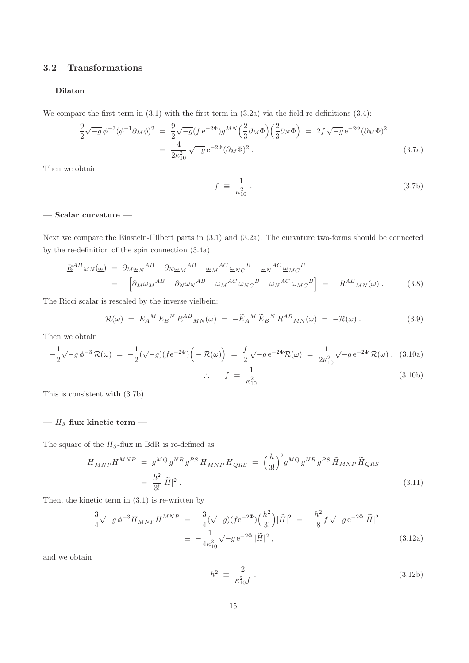## 3.2 Transformations

#### $-$  Dilaton  $-$

We compare the first term in  $(3.1)$  with the first term in  $(3.2a)$  via the field re-definitions  $(3.4)$ :

$$
\frac{9}{2}\sqrt{-g}\,\phi^{-3}(\phi^{-1}\partial_M\phi)^2 = \frac{9}{2}\sqrt{-g}(f\,\mathrm{e}^{-2\Phi})g^{MN}\left(\frac{2}{3}\partial_M\Phi\right)\left(\frac{2}{3}\partial_N\Phi\right) = 2f\,\sqrt{-g}\,\mathrm{e}^{-2\Phi}(\partial_M\Phi)^2
$$
\n
$$
= \frac{4}{2\kappa_{10}^2}\sqrt{-g}\,\mathrm{e}^{-2\Phi}(\partial_M\Phi)^2. \tag{3.7a}
$$

Then we obtain

$$
f \equiv \frac{1}{\kappa_{10}^2} \,. \tag{3.7b}
$$

## $-$  Scalar curvature  $-$

Next we compare the Einstein-Hilbert parts in (3.1) and (3.2a). The curvature two-forms should be connected by the re-definition of the spin connection (3.4a):

$$
\underline{R}^{AB}{}_{MN}(\underline{\omega}) = \partial_M \underline{\omega}_N{}^{AB} - \partial_N \underline{\omega}_M{}^{AB} - \underline{\omega}_M{}^{AC} \underline{\omega}_{NC}{}^B + \underline{\omega}_N{}^{AC} \underline{\omega}_{MC}{}^B
$$
\n
$$
= -\left[\partial_M \omega_M{}^{AB} - \partial_N \omega_N{}^{AB} + \omega_M{}^{AC} \omega_{NC}{}^B - \omega_N{}^{AC} \omega_{MC}{}^B\right] = -R^{AB}{}_{MN}(\omega) \,. \tag{3.8}
$$

The Ricci scalar is rescaled by the inverse vielbein:

$$
\underline{\mathcal{R}}(\underline{\omega}) = E_A{}^M E_B{}^N \underline{R}^{AB}{}_{MN}(\underline{\omega}) = -\widetilde{E}_A{}^M \widetilde{E}_B{}^N R^{AB}{}_{MN}(\omega) = -\mathcal{R}(\omega) \,.
$$
 (3.9)

Then we obtain

$$
-\frac{1}{2}\sqrt{-g}\,\phi^{-3}\,\underline{\mathcal{R}}(\underline{\omega}) = -\frac{1}{2}(\sqrt{-g})(f\mathrm{e}^{-2\Phi})\Big(-\mathcal{R}(\omega)\Big) = \frac{f}{2}\sqrt{-g}\,\mathrm{e}^{-2\Phi}\mathcal{R}(\omega) = \frac{1}{2\kappa_{10}^2}\sqrt{-g}\,\mathrm{e}^{-2\Phi}\,\mathcal{R}(\omega) , \quad (3.10a)
$$
  

$$
\therefore f = \frac{1}{\kappa_{10}^2} .
$$
 (3.10b)

This is consistent with (3.7b).

## —  $\mathcal{H}_{\mathcal{I}}$  -flux kinetic term —

The square of the  $H_3$ -flux in BdR is re-defined as

$$
\underline{H}_{MNP}\underline{H}^{MNP} = g^{MQ}g^{NR}g^{PS}\underline{H}_{MNP}\underline{H}_{QRS} = \left(\frac{h}{3!}\right)^2 g^{MQ}g^{NR}g^{PS}\widetilde{H}_{MNP}\widetilde{H}_{QRS}
$$
\n
$$
= \frac{h^2}{3!}|\widetilde{H}|^2.
$$
\n(3.11)

Then, the kinetic term in (3.1) is re-written by

$$
-\frac{3}{4}\sqrt{-g}\,\phi^{-3}\underline{H}_{MNP}\underline{H}^{MNP} = -\frac{3}{4}(\sqrt{-g})(fe^{-2\Phi})(\frac{h^2}{3!})|\tilde{H}|^2 = -\frac{h^2}{8}f\sqrt{-g}\,e^{-2\Phi}|\tilde{H}|^2
$$
  

$$
\equiv -\frac{1}{4\kappa_{10}^2}\sqrt{-g}\,e^{-2\Phi}|\tilde{H}|^2,
$$
(3.12a)

and we obtain

$$
h^2 \equiv \frac{2}{\kappa_{10}^2 f} \,. \tag{3.12b}
$$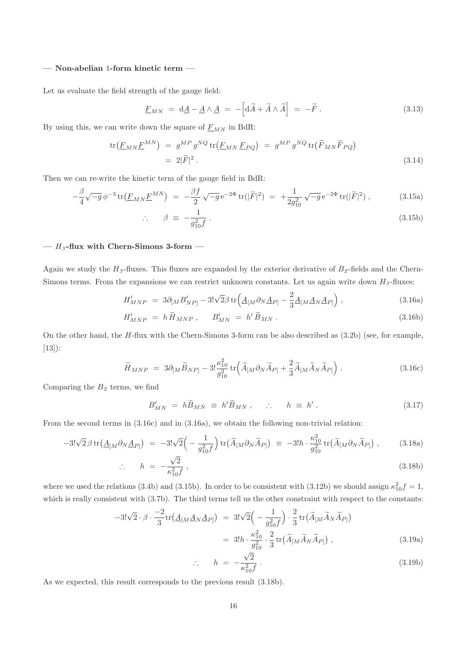#### — Non-abelian 1-form kinetic term —

Let us evaluate the field strength of the gauge field:

$$
\underline{F}_{MN} = \mathrm{d}\underline{A} - \underline{A} \wedge \underline{A} = -\left[\mathrm{d}\widetilde{A} + \widetilde{A} \wedge \widetilde{A}\right] = -\widetilde{F} \,. \tag{3.13}
$$

By using this, we can write down the square of  $E_{MN}$  in BdR:

$$
\text{tr}(\underline{F}_{MN}\underline{F}^{MN}) = g^{MP}g^{NQ}\text{tr}(\underline{F}_{MN}\underline{F}_{PQ}) = g^{MP}g^{NQ}\text{tr}(\widetilde{F}_{MN}\widetilde{F}_{PQ})
$$
\n
$$
= 2|\widetilde{F}|^2.
$$
\n(3.14)

Then we can re-write the kinetic term of the gauge field in BdR:

$$
-\frac{\beta}{4}\sqrt{-g}\,\phi^{-3}\,\text{tr}\left(\underline{F}_{MN}\underline{F}^{MN}\right) = -\frac{\beta f}{2}\,\sqrt{-g}\,\mathrm{e}^{-2\Phi}\,\text{tr}(|\widetilde{F}|^2) = +\frac{1}{2g_{10}^2}\,\sqrt{-g}\,\mathrm{e}^{-2\Phi}\,\text{tr}(|\widetilde{F}|^2) \,,\tag{3.15a}
$$

$$
\therefore \qquad \beta \equiv -\frac{1}{g_{10}^2 f} \,. \tag{3.15b}
$$

#### —  $H_3$ -flux with Chern-Simons 3-form —

Again we study the  $H_3$ -fluxes. This fluxes are expanded by the exterior derivative of  $B_2$ -fields and the Chern-Simons terms. From the expansions we can restrict unknown constants. Let us again write down  $H_3$ -fluxes:

$$
H'_{MNP} = 3\partial_{[M}B'_{NP]} - 3!\sqrt{2}\beta \operatorname{tr}\left(\underline{A}_{[M}\partial_N\underline{A}_{P]} - \frac{2}{3}\underline{A}_{[M}\underline{A}_N\underline{A}_{P]}\right),\tag{3.16a}
$$

$$
H'_{MNP} = h \widetilde{H}_{MNP}, \qquad B'_{MN} = h' \widetilde{B}_{MN} \,. \tag{3.16b}
$$

On the other hand, the  $H$ -flux with the Chern-Simons 3-form can be also described as  $(3.2b)$  (see, for example, [13]):

$$
\widetilde{H}_{MNP} = 3\partial_{[M}\widetilde{B}_{NP]} - 3!\frac{\kappa_{10}^2}{g_{10}^2} \text{tr}\Big(\widetilde{A}_{[M}\partial_N\widetilde{A}_{P]} + \frac{2}{3}\widetilde{A}_{[M}\widetilde{A}_N\widetilde{A}_{P]}\Big) . \tag{3.16c}
$$

Comparing the  $B_2$  terms, we find

$$
B'_{MN} = h\widetilde{B}_{MN} \equiv h'\widetilde{B}_{MN}, \qquad \therefore \qquad h \equiv h' \,.
$$
 (3.17)

From the second terms in (3.16c) and in (3.16a), we obtain the following non-trivial relation:

$$
-3!\sqrt{2}\beta \operatorname{tr}(\underline{A}_{[M}\partial_N\underline{A}_{P]}) = -3!\sqrt{2}\Big(-\frac{1}{g_{10}^2f}\Big)\operatorname{tr}(\widetilde{A}_{[M}\partial_N\widetilde{A}_{P]}) \equiv -3!h \cdot \frac{\kappa_{10}^2}{g_{10}^2} \operatorname{tr}(\widetilde{A}_{[M}\partial_N\widetilde{A}_{P]}) ,\qquad(3.18a)
$$

$$
\therefore \qquad h = -\frac{\sqrt{2}}{\kappa_{10}^2 f} \,, \tag{3.18b}
$$

where we used the relations (3.4b) and (3.15b). In order to be consistent with (3.12b) we should assign  $\kappa_{10}^2 f = 1$ , which is really consistent with  $(3.7b)$ . The third terms tell us the other constraint with respect to the constants:

$$
-3!\sqrt{2}\cdot\beta \cdot \frac{-2}{3}\text{tr}\left(\underline{A}_{[M}\underline{A}_{N}\underline{A}_{P]}\right) = 3!\sqrt{2}\left(-\frac{1}{g_{10}^2f}\right)\cdot\frac{2}{3}\text{tr}\left(\widetilde{A}_{[M}\widetilde{A}_{N}\widetilde{A}_{P]}\right)
$$

$$
= 3!h\cdot\frac{\kappa_{10}^2}{g_{10}^2}\cdot\frac{2}{3}\text{tr}\left(\widetilde{A}_{[M}\widetilde{A}_{N}\widetilde{A}_{P]}\right),\tag{3.19a}
$$

$$
\therefore \qquad h = -\frac{\sqrt{2}}{\kappa_{10}^2 f} \,. \tag{3.19b}
$$

As we expected, this result corresponds to the previous result (3.18b).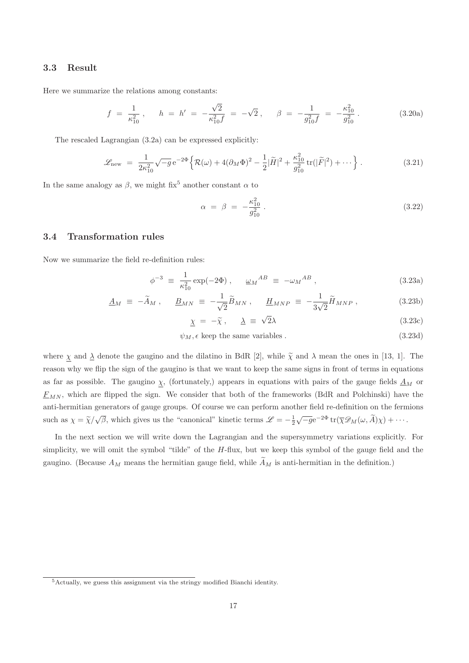#### 3.3 Result

Here we summarize the relations among constants:

$$
f = \frac{1}{\kappa_{10}^2}, \quad h = h' = -\frac{\sqrt{2}}{\kappa_{10}^2 f} = -\sqrt{2}, \quad \beta = -\frac{1}{g_{10}^2 f} = -\frac{\kappa_{10}^2}{g_{10}^2}.
$$
 (3.20a)

The rescaled Lagrangian (3.2a) can be expressed explicitly:

$$
\mathcal{L}_{\text{new}} = \frac{1}{2\kappa_{10}^2} \sqrt{-g} e^{-2\Phi} \left\{ \mathcal{R}(\omega) + 4(\partial_M \Phi)^2 - \frac{1}{2} |\tilde{H}|^2 + \frac{\kappa_{10}^2}{g_{10}^2} tr(|\tilde{F}|^2) + \cdots \right\}.
$$
 (3.21)

In the same analogy as  $\beta$ , we might fix<sup>5</sup> another constant  $\alpha$  to

$$
\alpha = \beta = -\frac{\kappa_{10}^2}{g_{10}^2} \,. \tag{3.22}
$$

## 3.4 Transformation rules

Now we summarize the field re-definition rules:

$$
\phi^{-3} \equiv \frac{1}{\kappa_{10}^2} \exp(-2\Phi) , \quad \underline{\omega}_M{}^{AB} \equiv -\omega_M{}^{AB} , \qquad (3.23a)
$$

$$
\underline{A}_M \equiv -\widetilde{A}_M \,, \quad \underline{B}_{MN} \equiv -\frac{1}{\sqrt{2}} \widetilde{B}_{MN} \,, \quad \underline{H}_{MNP} \equiv -\frac{1}{3\sqrt{2}} \widetilde{H}_{MNP} \,, \tag{3.23b}
$$

$$
\underline{\chi} = -\tilde{\chi}, \quad \underline{\lambda} \equiv \sqrt{2}\lambda \tag{3.23c}
$$

$$
\psi_M, \epsilon \text{ keep the same variables.} \tag{3.23d}
$$

where  $\chi$  and  $\Delta$  denote the gaugino and the dilatino in BdR [2], while  $\tilde{\chi}$  and  $\lambda$  mean the ones in [13, 1]. The reason why we flip the sign of the gaugino is that we want to keep the same signs in front of terms in equations as far as possible. The gaugino  $\chi$ , (fortunately,) appears in equations with pairs of the gauge fields  $\underline{A}_M$  or  $E_{MN}$ , which are flipped the sign. We consider that both of the frameworks (BdR and Polchinski) have the anti-hermitian generators of gauge groups. Of course we can perform another field re-definition on the fermions such as  $\chi = \tilde{\chi}/\sqrt{\beta}$ , which gives us the "canonical" kinetic terms  $\mathscr{L} = -\frac{1}{2}\sqrt{-g}e^{-2\Phi} \operatorname{tr}(\overline{\chi}\mathscr{D}_M(\omega, \widetilde{A})\chi) + \cdots$ .

In the next section we will write down the Lagrangian and the supersymmetry variations explicitly. For simplicity, we will omit the symbol "tilde" of the H-flux, but we keep this symbol of the gauge field and the gaugino. (Because  $A_M$  means the hermitian gauge field, while  $\widetilde{A}_M$  is anti-hermitian in the definition.)

<sup>5</sup>Actually, we guess this assignment via the stringy modified Bianchi identity.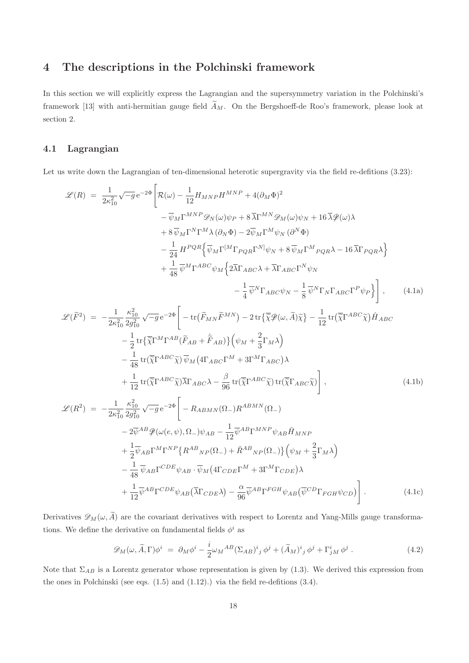# 4 The descriptions in the Polchinski framework

In this section we will explicitly express the Lagrangian and the supersymmetry variation in the Polchinski's framework [13] with anti-hermitian gauge field  $\tilde{A}_M$ . On the Bergshoeff-de Roo's framework, please look at section 2.

#### 4.1 Lagrangian

Let us write down the Lagrangian of ten-dimensional heterotic supergravity via the field re-defitions  $(3.23)$ :

$$
\mathcal{L}(R) = \frac{1}{2\kappa_{10}^{2}}\sqrt{-g}e^{-2\Phi}\left[\mathcal{R}(\omega) - \frac{1}{12}H_{MNP}H^{MNP} + 4(\partial_{M}\Phi)^{2}\right] \n- \overline{\psi}_{M}\Gamma^{MNP}\mathscr{D}_{N}(\omega)\psi_{P} + 8\overline{\lambda}\Gamma^{MN}\mathscr{D}_{M}(\omega)\psi_{N} + 16\overline{\lambda}\mathscr{P}(\omega)\lambda \n+ 8\overline{\psi}_{M}\Gamma^{N}\Gamma^{M}\lambda(\partial_{N}\Phi) - 2\overline{\psi}_{M}\Gamma^{M}\psi_{N}(\partial^{N}\Phi) \n- \frac{1}{24}H^{PQR}\left\{\overline{\psi}_{M}\Gamma^{[M}\Gamma_{PQR}\Gamma^{N]}\psi_{N} + 8\overline{\psi}_{M}\Gamma^{M}{}_{PQR}\lambda - 16\overline{\lambda}\Gamma_{PQR}\lambda\right\} \n+ \frac{1}{48}\overline{\psi}^{M}\Gamma^{ABC}\psi_{M}\left\{2\overline{\lambda}\Gamma_{ABC}\lambda + \overline{\lambda}\Gamma_{ABC}\Gamma^{N}\psi_{N} - \frac{1}{8}\overline{\psi}^{N}\Gamma_{N}\Gamma_{ABC}\Gamma^{P}\psi_{P}\right\}\right], \qquad (4.1a)
$$

$$
\mathcal{L}(\widetilde{F}^2) = -\frac{1}{2\kappa_{10}^2} \frac{\kappa_{10}^2}{2g_{10}^2} \sqrt{-g} e^{-2\Phi} \left[ -\text{tr}\left(\widetilde{F}_{MN}\widetilde{F}^{MN}\right) - 2\,\text{tr}\left\{\widetilde{\chi}\mathcal{P}(\omega,\widetilde{A})\widetilde{\chi}\right\} - \frac{1}{12} \,\text{tr}\left(\widetilde{\chi}\Gamma^{ABC}\widetilde{\chi}\right)\hat{H}_{ABC} \right] - \frac{1}{2} \text{tr}\left\{\widetilde{\chi}\Gamma^M\Gamma^{AB}(\widetilde{F}_{AB} + \widetilde{F}_{AB})\right\} \left(\psi_M + \frac{2}{3}\Gamma_M\lambda\right) - \frac{1}{48} \text{tr}\left(\widetilde{\chi}\Gamma^{ABC}\widetilde{\chi}\right)\overline{\psi}_M \left(4\Gamma_{ABC}\Gamma^M + 3\Gamma^M\Gamma_{ABC}\right)\lambda + \frac{1}{12} \text{tr}\left(\widetilde{\chi}\Gamma^{ABC}\widetilde{\chi}\right)\overline{\lambda}\Gamma_{ABC}\lambda - \frac{\beta}{96} \text{tr}\left(\widetilde{\chi}\Gamma^{ABC}\widetilde{\chi}\right)\text{tr}\left(\overline{\chi}\Gamma_{ABC}\widetilde{\chi}\right) \right],
$$
(4.1b)

$$
\mathcal{L}(R^2) = -\frac{1}{2\kappa_{10}^2} \frac{\kappa_{10}^2}{2g_{10}^2} \sqrt{-g} e^{-2\Phi} \left[ -R_{ABMN}(\Omega_-) R^{ABMN}(\Omega_-) \right.\n- 2\overline{\psi}^{AB} \mathcal{P}(\omega(e,\psi),\Omega_-) \psi_{AB} - \frac{1}{12} \overline{\psi}^{AB} \Gamma^{MNP} \psi_{AB} \hat{H}_{MNP} \n+ \frac{1}{2} \overline{\psi}_{AB} \Gamma^{M} \Gamma^{NP} \{ R^{AB}{}_{NP}(\Omega_-) + \hat{R}^{AB}{}_{NP}(\Omega_-) \} \left( \psi_M + \frac{2}{3} \Gamma_M \lambda \right) \n- \frac{1}{48} \overline{\psi}_{AB} \Gamma^{CDE} \psi_{AB} \cdot \overline{\psi}_M \{ 4 \Gamma_{CDE} \Gamma^M + 3 \Gamma^M \Gamma_{CDE} \} \lambda \n+ \frac{1}{12} \overline{\psi}^{AB} \Gamma^{CDE} \psi_{AB} \left( \overline{\lambda} \Gamma_{CDE} \lambda \right) - \frac{\alpha}{96} \overline{\psi}^{AB} \Gamma^{FGH} \psi_{AB} \left( \overline{\psi}^{CD} \Gamma_{FGH} \psi_{CD} \right) \right].
$$
\n(4.1c)

Derivatives  $\mathscr{D}_M(\omega, \widetilde{A})$  are the covariant derivatives with respect to Lorentz and Yang-Mills gauge transformations. We define the derivative on fundamental fields  $\phi^i$  as

$$
\mathscr{D}_M(\omega, \widetilde{A}, \Gamma) \phi^i = \partial_M \phi^i - \frac{i}{2} \omega_M{}^{AB} (\Sigma_{AB})^i{}_j \phi^j + (\widetilde{A}_M)^i{}_j \phi^j + \Gamma^i_{jM} \phi^j . \tag{4.2}
$$

Note that  $\Sigma_{AB}$  is a Lorentz generator whose representation is given by (1.3). We derived this expression from the ones in Polchinski (see eqs.  $(1.5)$  and  $(1.12)$ .) via the field re-defitions  $(3.4)$ .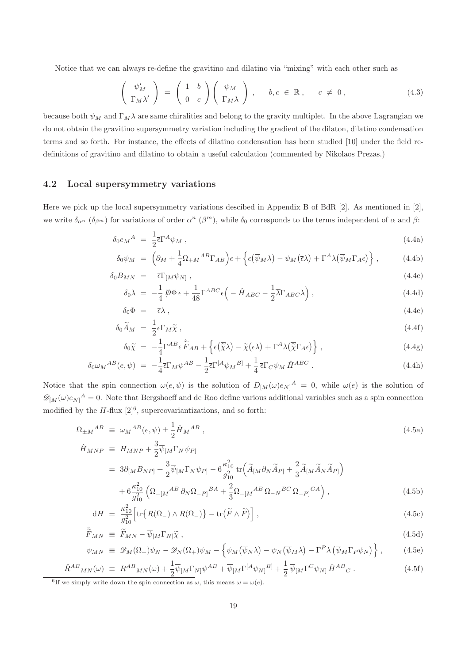Notice that we can always re-define the gravitino and dilatino via "mixing" with each other such as

$$
\begin{pmatrix}\n\psi'_M \\
\Gamma_M \lambda'\n\end{pmatrix} = \begin{pmatrix}\n1 & b \\
0 & c\n\end{pmatrix} \begin{pmatrix}\n\psi_M \\
\Gamma_M \lambda\n\end{pmatrix}, \quad b, c \in \mathbb{R}, \quad c \neq 0,
$$
\n(4.3)

because both  $\psi_M$  and  $\Gamma_M \lambda$  are same chiralities and belong to the gravity multiplet. In the above Lagrangian we do not obtain the gravitino supersymmetry variation including the gradient of the dilaton, dilatino condensation terms and so forth. For instance, the effects of dilatino condensation has been studied [10] under the field redefinitions of gravitino and dilatino to obtain a useful calculation (commented by Nikolaos Prezas.)

#### 4.2 Local supersymmetry variations

Here we pick up the local supersymmetry variations descibed in Appendix B of BdR [2]. As mentioned in [2], we write  $\delta_{\alpha^n}$  ( $\delta_{\beta^m}$ ) for variations of order  $\alpha^n$  ( $\beta^m$ ), while  $\delta_0$  corresponds to the terms independent of  $\alpha$  and  $\beta$ :

$$
\delta_0 e_M{}^A = \frac{1}{2} \bar{\epsilon} \Gamma^A \psi_M \,, \tag{4.4a}
$$

$$
\delta_0 \psi_M = \left( \partial_M + \frac{1}{4} \Omega_{+M}{}^{AB} \Gamma_{AB} \right) \epsilon + \left\{ \epsilon (\overline{\psi}_M \lambda) - \psi_M (\overline{\epsilon} \lambda) + \Gamma^A \lambda (\overline{\psi}_M \Gamma_A \epsilon) \right\}, \tag{4.4b}
$$

$$
\delta_0 B_{MN} = -\bar{\epsilon} \Gamma_{[M} \psi_{N]}, \qquad (4.4c)
$$

$$
\delta_0 \lambda = -\frac{1}{4} \mathcal{D} \Phi \epsilon + \frac{1}{48} \Gamma^{ABC} \epsilon \left( -\hat{H}_{ABC} - \frac{1}{2} \overline{\lambda} \Gamma_{ABC} \lambda \right), \qquad (4.4d)
$$

$$
\delta_0 \Phi = -\bar{\epsilon}\lambda \,, \tag{4.4e}
$$

$$
\delta_0 \widetilde{A}_M = \frac{1}{2} \overline{\epsilon} \Gamma_M \widetilde{\chi} \,, \tag{4.4f}
$$

$$
\delta_0 \widetilde{\chi} = -\frac{1}{4} \Gamma^{AB} \epsilon \widetilde{\widetilde{F}}_{AB} + \left\{ \epsilon (\overline{\widetilde{\chi}} \lambda) - \widetilde{\chi} (\overline{\epsilon} \lambda) + \Gamma^A \lambda (\overline{\widetilde{\chi}} \Gamma_A \epsilon) \right\},\tag{4.4g}
$$

$$
\delta_0 \omega_M{}^{AB}(e,\psi) = -\frac{1}{4} \bar{\epsilon} \Gamma_M \psi^{AB} - \frac{1}{2} \bar{\epsilon} \Gamma^{[A} \psi_M{}^{B]} + \frac{1}{4} \bar{\epsilon} \Gamma_C \psi_M \hat{H}^{ABC} \,. \tag{4.4h}
$$

Notice that the spin connection  $\omega(e,\psi)$  is the solution of  $D_{[M]}(\omega)e_{N]}^A = 0$ , while  $\omega(e)$  is the solution of  $\mathscr{D}_{[M]}(\omega)e_{N]}^{A} = 0.$  Note that Bergshoeff and de Roo define various additional variables such as a spin connection modified by the  $H$ -flux  $[2]^6$ , supercovariantizations, and so forth:

$$
\Omega_{\pm M}{}^{AB} \equiv \omega_M{}^{AB}(e,\psi) \pm \frac{1}{2}\hat{H}_M{}^{AB} \,,\tag{4.5a}
$$

$$
\hat{H}_{MNP} \ \equiv \ H_{MNP} + \frac{3}{2} \overline{\psi}_{[M} \Gamma_N \psi_{P]}
$$

$$
= 3\partial_{[M}B_{NP]} + \frac{3}{2}\overline{\psi}_{[M}\Gamma_N\psi_{P]} - 6\frac{\kappa_{10}^2}{g_{10}^2}\operatorname{tr}\left(\widetilde{A}_{[M}\partial_N\widetilde{A}_{P]} + \frac{2}{3}\widetilde{A}_{[M}\widetilde{A}_N\widetilde{A}_{P]}\right) + 6\frac{\kappa_{10}^2}{g_{10}^2}\left(\Omega_{-[M}^{AB}\partial_N\Omega_{-P]}^{BA} + \frac{2}{3}\Omega_{-[M}^{AB}\Omega_{-N}^{BC}\Omega_{-P]}^{CA}\right),
$$
(4.5b)

$$
dH = \frac{\kappa_{10}^2}{g_{10}^2} \left[ \text{tr} \{ R(\Omega_-) \wedge R(\Omega_-) \} - \text{tr}(\widetilde{F} \wedge \widetilde{F}) \right], \qquad (4.5c)
$$

$$
\hat{\tilde{F}}_{MN} \equiv \tilde{F}_{MN} - \overline{\psi}_{[M} \Gamma_{N]} \tilde{\chi} \,, \tag{4.5d}
$$

$$
\psi_{MN} \equiv \mathscr{D}_M(\Omega_+) \psi_N - \mathscr{D}_N(\Omega_+) \psi_M - \left\{ \psi_M(\overline{\psi}_N \lambda) - \psi_N(\overline{\psi}_M \lambda) - \Gamma^P \lambda (\overline{\psi}_M \Gamma_P \psi_N) \right\}, \tag{4.5e}
$$

$$
\hat{R}^{AB}{}_{MN}(\omega) \equiv R^{AB}{}_{MN}(\omega) + \frac{1}{2}\overline{\psi}_{[M}\Gamma_{N]}\psi^{AB} + \overline{\psi}_{[M}\Gamma^{[A}\psi_{N]}{}^{B]} + \frac{1}{2}\overline{\psi}_{[M}\Gamma^{C}\psi_{N]}\hat{H}^{AB}{}_{C}.
$$
\n(4.5f)\n
$$
{}^{6}\text{If we simply write down the spin connection as } \omega, \text{ this means } \omega = \omega(e).
$$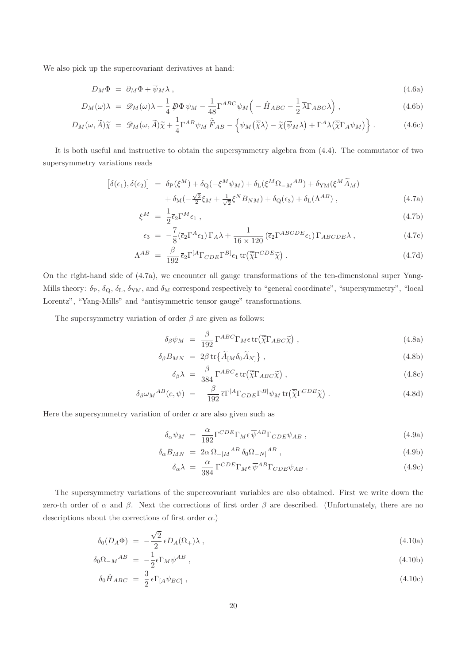We also pick up the supercovariant derivatives at hand:

$$
D_M \Phi = \partial_M \Phi + \overline{\psi}_M \lambda \,, \tag{4.6a}
$$

$$
D_M(\omega)\lambda = \mathscr{D}_M(\omega)\lambda + \frac{1}{4}\mathscr{D}\Phi\,\psi_M - \frac{1}{48}\Gamma^{ABC}\psi_M\left(-\hat{H}_{ABC} - \frac{1}{2}\overline{\lambda}\Gamma_{ABC}\lambda\right),\tag{4.6b}
$$

$$
D_M(\omega, \widetilde{A})\widetilde{\chi} = \mathscr{D}_M(\omega, \widetilde{A})\widetilde{\chi} + \frac{1}{4}\Gamma^{AB}\psi_M \widetilde{F}_{AB} - \left\{\psi_M(\overline{\widetilde{\chi}}\lambda) - \widetilde{\chi}(\overline{\psi}_M\lambda) + \Gamma^A\lambda(\overline{\widetilde{\chi}}\Gamma_A\psi_M)\right\}.
$$
 (4.6c)

It is both useful and instructive to obtain the supersymmetry algebra from (4.4). The commutator of two supersymmetry variations reads

$$
\begin{aligned}\n\left[\delta(\epsilon_1), \delta(\epsilon_2)\right] &= \delta_{\rm P}(\xi^M) + \delta_{\rm Q}(-\xi^M \psi_M) + \delta_{\rm L}(\xi^M \Omega_{-M}{}^{AB}) + \delta_{\rm YM}(\xi^M \widetilde{A}_M) \\
&\quad + \delta_{\rm M}(-\frac{\sqrt{2}}{2}\xi_M + \frac{1}{\sqrt{2}}\xi^N B_{NM}) + \delta_{\rm Q}(\epsilon_3) + \delta_{\rm L}(\Lambda^{AB})\,,\n\end{aligned} \tag{4.7a}
$$

$$
\xi^M = \frac{1}{2} \bar{\epsilon}_2 \Gamma^M \epsilon_1 \,, \tag{4.7b}
$$

$$
\epsilon_3 = -\frac{7}{8} (\bar{\epsilon}_2 \Gamma^A \epsilon_1) \Gamma_A \lambda + \frac{1}{16 \times 120} (\bar{\epsilon}_2 \Gamma^{ABCDE} \epsilon_1) \Gamma_{ABCDE} \lambda , \qquad (4.7c)
$$

$$
\Lambda^{AB} = \frac{\beta}{192} \bar{\epsilon}_2 \Gamma^{[A} \Gamma_{CDE} \Gamma^{B]} \epsilon_1 \operatorname{tr} (\overline{\tilde{\chi}} \Gamma^{CDE} \tilde{\chi}) . \tag{4.7d}
$$

On the right-hand side of (4.7a), we encounter all gauge transformations of the ten-dimensional super Yang-Mills theory:  $\delta_P$ ,  $\delta_Q$ ,  $\delta_L$ ,  $\delta_{YM}$ , and  $\delta_M$  correspond respectively to "general coordinate", "supersymmetry", "local Lorentz", "Yang-Mills" and "antisymmetric tensor gauge" transformations.

The supersymmetry variation of order  $\beta$  are given as follows:

$$
\delta_{\beta}\psi_M = \frac{\beta}{192} \Gamma^{ABC} \Gamma_M \epsilon \operatorname{tr}(\overline{\tilde{\chi}} \Gamma_{ABC} \widetilde{\chi}) , \qquad (4.8a)
$$

$$
\delta_{\beta} B_{MN} = 2\beta \operatorname{tr} \{ \widetilde{A}_{[M} \delta_0 \widetilde{A}_{N]} \}, \qquad (4.8b)
$$

$$
\delta_{\beta} \lambda = \frac{\beta}{384} \Gamma^{ABC} \epsilon \operatorname{tr}(\overline{\tilde{\chi}} \Gamma_{ABC} \tilde{\chi}), \qquad (4.8c)
$$

$$
\delta_{\beta}\omega_{M}^{AB}(e,\psi) = -\frac{\beta}{192}\bar{\epsilon}\Gamma^{[A}\Gamma_{CDE}\Gamma^{B]}\psi_{M}\operatorname{tr}\left(\overline{\tilde{\chi}}\Gamma^{CDE}\widetilde{\chi}\right). \tag{4.8d}
$$

Here the supersymmetry variation of order  $\alpha$  are also given such as

$$
\delta_{\alpha}\psi_M = \frac{\alpha}{192} \Gamma^{CDE} \Gamma_M \epsilon \overline{\psi}^{AB} \Gamma_{CDE} \psi_{AB} , \qquad (4.9a)
$$

$$
\delta_{\alpha} B_{MN} = 2\alpha \Omega_{-[M}{}^{AB} \delta_0 \Omega_{-N]}{}^{AB} , \qquad (4.9b)
$$

$$
\delta_{\alpha}\lambda = \frac{\alpha}{384} \Gamma^{CDE} \Gamma_M \epsilon \overline{\psi}^{AB} \Gamma_{CDE} \psi_{AB} . \qquad (4.9c)
$$

The supersymmetry variations of the supercovariant variables are also obtained. First we write down the zero-th order of  $\alpha$  and  $\beta$ . Next the corrections of first order  $\beta$  are described. (Unfortunately, there are no descriptions about the corrections of first order  $\alpha$ .)

$$
\delta_0(D_A \Phi) = -\frac{\sqrt{2}}{2} \bar{\epsilon} D_A(\Omega_+) \lambda , \qquad (4.10a)
$$

$$
\delta_0 \Omega_{-M}{}^{AB} = -\frac{1}{2} \overline{\epsilon} \Gamma_M \psi^{AB} , \qquad (4.10b)
$$

$$
\delta_0 \hat{H}_{ABC} = \frac{3}{2} \bar{\epsilon} \Gamma_{[A} \psi_{BC]}, \qquad (4.10c)
$$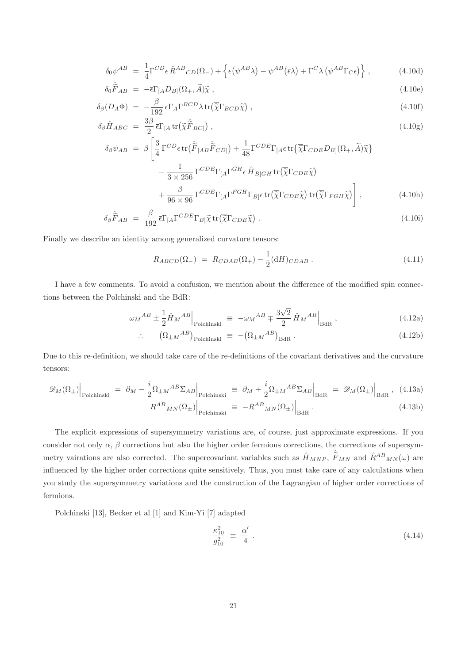$$
\delta_0 \psi^{AB} = \frac{1}{4} \Gamma^{CD} \epsilon \hat{R}^{AB}{}_{CD}(\Omega_-) + \left\{ \epsilon (\overline{\psi}^{AB} \lambda) - \psi^{AB} (\overline{\epsilon} \lambda) + \Gamma^C \lambda (\overline{\psi}^{AB} \Gamma_C \epsilon) \right\},
$$
\n(4.10d)

$$
\delta_0 \tilde{\tilde{F}}_{AB} = -\bar{\epsilon} \Gamma_{[A} D_{B]}(\Omega_+, \tilde{A}) \tilde{\chi} \,, \tag{4.10e}
$$

$$
\delta_{\beta}(D_A \Phi) = -\frac{\beta}{192} \bar{\epsilon} \Gamma_A \Gamma^{BCD} \lambda \, \text{tr} \big( \overline{\tilde{\chi}} \Gamma_{BCD} \tilde{\chi} \big) \,, \tag{4.10f}
$$

$$
\delta_{\beta}\hat{H}_{ABC} = \frac{3\beta}{2} \bar{\epsilon} \Gamma_{[A} \text{tr}(\tilde{\chi}\tilde{\tilde{F}}_{BC]}) , \qquad (4.10g)
$$

$$
\delta_{\beta}\psi_{AB} = \beta \left[ \frac{3}{4} \Gamma^{CD} \epsilon \operatorname{tr}(\hat{\tilde{F}}_{[AB}\hat{\tilde{F}}_{CD]}) + \frac{1}{48} \Gamma^{CDE} \Gamma_{[A} \epsilon \operatorname{tr} \{ \overline{\tilde{\chi}} \Gamma_{CDE} D_{B]} (\Omega_+, \tilde{A}) \tilde{\chi} \} - \frac{1}{3 \times 256} \Gamma^{CDE} \Gamma_{[A} \Gamma^{GH} \epsilon \hat{H}_{B]GH} \operatorname{tr}(\overline{\tilde{\chi}} \Gamma_{CDE} \tilde{\chi}) + \frac{\beta}{96 \times 96} \Gamma^{CDE} \Gamma_{[A} \Gamma^{FGH} \Gamma_{B]} \epsilon \operatorname{tr}(\overline{\tilde{\chi}} \Gamma_{CDE} \tilde{\chi}) \operatorname{tr}(\overline{\tilde{\chi}} \Gamma_{FGH} \tilde{\chi}) \right], \tag{4.10h}
$$

$$
\delta_{\beta} \hat{\tilde{F}}_{AB} = \frac{\beta}{192} \bar{\epsilon} \Gamma_{[A} \Gamma^{CDE} \Gamma_{B]} \tilde{\chi} \operatorname{tr} (\overline{\tilde{\chi}} \Gamma_{CDE} \tilde{\chi}) . \tag{4.10i}
$$

Finally we describe an identity among generalized curvature tensors:

$$
R_{ABCD}(\Omega_{-}) = R_{CDAB}(\Omega_{+}) - \frac{1}{2} (dH)_{CDAB}. \qquad (4.11)
$$

I have a few comments. To avoid a confusion, we mention about the difference of the modified spin connections between the Polchinski and the BdR:

$$
\omega_M{}^{AB} \pm \frac{1}{2} \hat{H}_M{}^{AB}\Big|_{\text{Polchinski}} \equiv -\omega_M{}^{AB} \mp \frac{3\sqrt{2}}{2} \hat{H}_M{}^{AB}\Big|_{\text{BdR}},\tag{4.12a}
$$

$$
\therefore \qquad (\Omega_{\pm M}{}^{AB})_{\text{Polchinski}} \equiv -(\Omega_{\pm M}{}^{AB})_{\text{BdR}} \,. \tag{4.12b}
$$

Due to this re-definition, we should take care of the re-definitions of the covariant derivatives and the curvature tensors:

$$
\mathcal{D}_{M}(\Omega_{\pm})\Big|_{\text{Polehinski}} = \partial_{M} - \frac{i}{2}\Omega_{\pm M}{}^{AB}\Sigma_{AB}\Big|_{\text{Polehinski}} \equiv \partial_{M} + \frac{i}{2}\Omega_{\pm M}{}^{AB}\Sigma_{AB}\Big|_{\text{BdR}} = \mathcal{D}_{M}(\Omega_{\pm})\Big|_{\text{BdR}}, \quad (4.13a)
$$
\n
$$
R^{AB}{}_{MN}(\Omega_{\pm})\Big|_{\text{BdR}} = -R^{AB}{}_{MN}(\Omega_{\pm})\Big|_{\text{BdR}} \quad (4.13b)
$$

$$
_{MN}(\Omega_{\pm})\Big|_{\text{Polchinski}} \equiv -R^{AB}{}_{MN}(\Omega_{\pm})\Big|_{\text{BdR}}.\tag{4.13b}
$$

The explicit expressions of supersymmetry variations are, of course, just approximate expressions. If you consider not only  $\alpha$ ,  $\beta$  corrections but also the higher order fermions corrections, the corrections of supersymmetry vairations are also corrected. The supercovariant variables such as  $\hat{H}_{MNP}$ ,  $\hat{F}_{MN}$  and  $\hat{R}^{AB}{}_{MN}(\omega)$  are influenced by the higher order corrections quite sensitively. Thus, you must take care of any calculations when you study the supersymmetry variations and the construction of the Lagrangian of higher order corrections of fermions.

Polchinski [13], Becker et al [1] and Kim-Yi [7] adapted

$$
\frac{\kappa_{10}^2}{g_{10}^2} \equiv \frac{\alpha'}{4} \,. \tag{4.14}
$$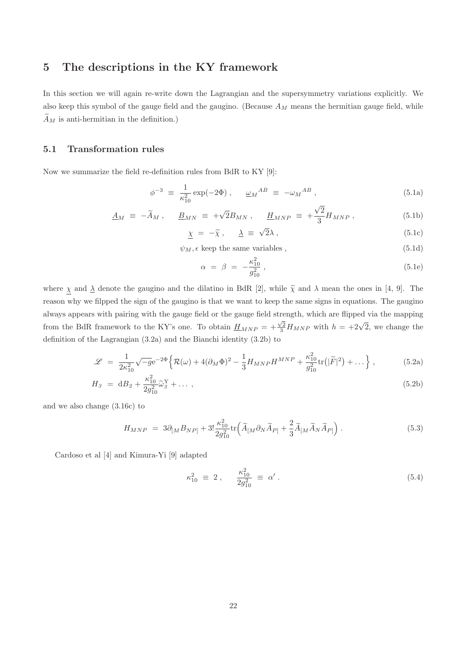# 5 The descriptions in the KY framework

In this section we will again re-write down the Lagrangian and the supersymmetry variations explicitly. We also keep this symbol of the gauge field and the gaugino. (Because  $A_M$  means the hermitian gauge field, while  $\ddot{A}_M$  is anti-hermitian in the definition.)

#### 5.1 Transformation rules

Now we summarize the field re-definition rules from BdR to KY [9]:

$$
\phi^{-3} \equiv \frac{1}{\kappa_{10}^2} \exp(-2\Phi) , \quad \underline{\omega}_M{}^{AB} \equiv -\omega_M{}^{AB} , \qquad (5.1a)
$$

$$
\underline{A}_M \equiv -\widetilde{A}_M \ , \qquad \underline{B}_{MN} \equiv +\sqrt{2}B_{MN} \ , \qquad \underline{H}_{MNP} \equiv +\frac{\sqrt{2}}{3}H_{MNP} \ , \tag{5.1b}
$$

$$
\underline{\chi} = -\tilde{\chi}, \quad \underline{\lambda} \equiv \sqrt{2}\lambda \,, \tag{5.1c}
$$

 $\psi_M$ ,  $\epsilon$  keep the same variables, (5.1d)

$$
\alpha = \beta = -\frac{\kappa_{10}^2}{g_{10}^2},\tag{5.1e}
$$

where  $\chi$  and  $\Delta$  denote the gaugino and the dilatino in BdR [2], while  $\tilde{\chi}$  and  $\lambda$  mean the ones in [4, 9]. The reason why we filpped the sign of the gaugino is that we want to keep the same signs in equations. The gaugino always appears with pairing with the gauge field or the gauge field strength, which are flipped via the mapping from the BdR framework to the KY's one. To obtain  $\underline{H}_{MNP} = +\frac{\sqrt{2}}{3}H_{MNP}$  with  $h = +2\sqrt{2}$ , we change the definition of the Lagrangian (3.2a) and the Bianchi identity (3.2b) to

$$
\mathcal{L} = \frac{1}{2\kappa_{10}^2} \sqrt{-g} e^{-2\Phi} \left\{ \mathcal{R}(\omega) + 4(\partial_M \Phi)^2 - \frac{1}{3} H_{MNP} H^{MNP} + \frac{\kappa_{10}^2}{g_{10}^2} tr(|\widetilde{F}|^2) + \dots \right\},\tag{5.2a}
$$

$$
H_3 = dB_2 + \frac{\kappa_{10}^2}{2g_{10}^2} \tilde{\omega}_3^Y + \dots \,, \tag{5.2b}
$$

and we also change (3.16c) to

$$
H_{MNP} = 3\partial_{[M}B_{NP]} + 3!\frac{\kappa_{10}^2}{2g_{10}^2} \text{tr}\Big(\widetilde{A}_{[M}\partial_N\widetilde{A}_{P]} + \frac{2}{3}\widetilde{A}_{[M}\widetilde{A}_N\widetilde{A}_{P]}\Big) . \tag{5.3}
$$

Cardoso et al [4] and Kimura-Yi [9] adapted

$$
\kappa_{10}^2 \equiv 2 \,, \quad \frac{\kappa_{10}^2}{2g_{10}^2} \equiv \alpha' \,. \tag{5.4}
$$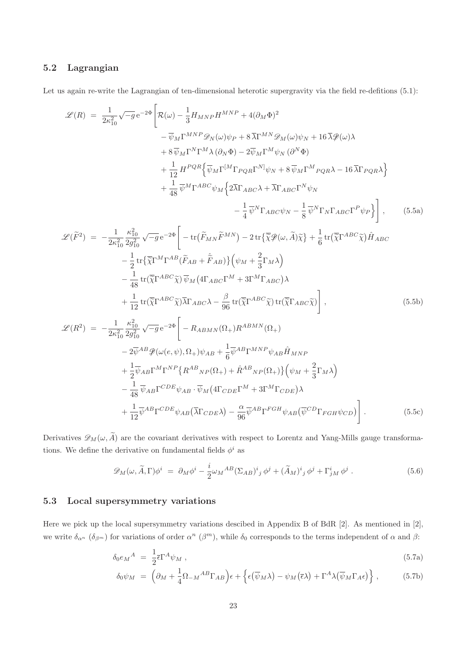## 5.2 Lagrangian

Let us again re-write the Lagrangian of ten-dimensional heterotic supergravity via the field re-defitions  $(5.1)$ :

$$
\mathcal{L}(R) = \frac{1}{2\kappa_{10}^{2}}\sqrt{-g}e^{-2\Phi}\left[\mathcal{R}(\omega)-\frac{1}{3}H_{MNP}H^{MNP}+4(\partial_{M}\Phi)^{2}\right.\quad -\overline{\psi}_{M}\Gamma^{MNP}\mathscr{D}_{N}(\omega)\psi_{P}+8\overline{\Lambda}\Gamma^{MNP}\mathscr{D}_{M}(\omega)\psi_{N}+16\overline{\lambda}\mathscr{D}(\omega)\lambda\quad +8\overline{\psi}_{M}\Gamma^{N}\Gamma^{M}\lambda(\partial_{N}\Phi)-2\overline{\psi}_{M}\Gamma^{M}\psi_{N}(\partial^{N}\Phi)\quad +\frac{1}{12}H^{PQR}\left\{\overline{\psi}_{M}\Gamma^{[M}\Gamma_{PQR}\Gamma^{N]}\psi_{N}+8\overline{\psi}_{M}\Gamma^{M}P_{QRN}\lambda-16\overline{\lambda}\Gamma_{PQR}\lambda\right\}\quad +\frac{1}{48}\overline{\psi}^{M}\Gamma^{ABC}\psi_{M}\left\{2\overline{\lambda}\Gamma_{ABC}\lambda+\overline{\lambda}\Gamma_{ABC}\Gamma^{N}\psi_{N}\right.\quad -\frac{1}{4}\overline{\psi}^{N}\Gamma_{ABC}\psi_{N}-\frac{1}{8}\overline{\psi}^{N}\Gamma_{N}\Gamma_{ABC}\Gamma^{P}\psi_{P}\right\}, (5.5a)
$$
  

$$
\mathcal{L}(\widetilde{F}^{2}) = -\frac{1}{2\kappa_{10}^{2}}\frac{\kappa_{10}^{2}}{2g_{10}^{2}}\sqrt{-g}e^{-2\Phi}\left[-\text{tr}(\widetilde{F}_{MN}\widetilde{F}^{MN})-2\text{tr}\{\widetilde{\chi}\mathscr{D}(\omega,\widetilde{A})\widetilde{\chi}\}+\frac{1}{6}\text{tr}(\widetilde{\chi}\Gamma^{ABC}\widetilde{\chi})\widetilde{H}_{ABC}\right.\tag{5.5a}
$$
  

$$
-\frac{1}{2}\text{tr}\{\widetilde{\chi}\Gamma^{MC}\widetilde{\chi}\partial\widetilde{\chi}(\omega)\widetilde{\chi}_{M}\right\}(\Delta_{M}\widetilde{F}^{MN})
$$
  

$$
-\frac{1}{48}\text{tr}(\widetilde{\chi}\Gamma^{ABC}\widetilde{\chi})\overline{\psi}_{M}\left(4\Gamma_{ABC}\Gamma^{M}+3\Gamma^{M}\Gamma_{ABC}\right)\lambda\quad +\frac{1}{1
$$

Derivatives  $\mathscr{D}_M(\omega, \widetilde{A})$  are the covariant derivatives with respect to Lorentz and Yang-Mills gauge transformations. We define the derivative on fundamental fields  $\phi^i$  as

$$
\mathscr{D}_M(\omega, \widetilde{A}, \Gamma) \phi^i = \partial_M \phi^i - \frac{i}{2} \omega_M{}^{AB} (\Sigma_{AB})^i{}_j \phi^j + (\widetilde{A}_M)^i{}_j \phi^j + \Gamma^i_{jM} \phi^j . \tag{5.6}
$$

#### 5.3 Local supersymmetry variations

Here we pick up the local supersymmetry variations descibed in Appendix B of BdR [2]. As mentioned in [2], we write  $\delta_{\alpha^n}$  ( $\delta_{\beta^m}$ ) for variations of order  $\alpha^n$  ( $\beta^m$ ), while  $\delta_0$  corresponds to the terms independent of  $\alpha$  and  $\beta$ :

$$
\delta_0 e_M{}^A = \frac{1}{2} \bar{\epsilon} \Gamma^A \psi_M \,, \tag{5.7a}
$$

$$
\delta_0 \psi_M = \left( \partial_M + \frac{1}{4} \Omega_{-M}{}^{AB} \Gamma_{AB} \right) \epsilon + \left\{ \epsilon (\overline{\psi}_M \lambda) - \psi_M (\overline{\epsilon} \lambda) + \Gamma^A \lambda (\overline{\psi}_M \Gamma_A \epsilon) \right\}, \tag{5.7b}
$$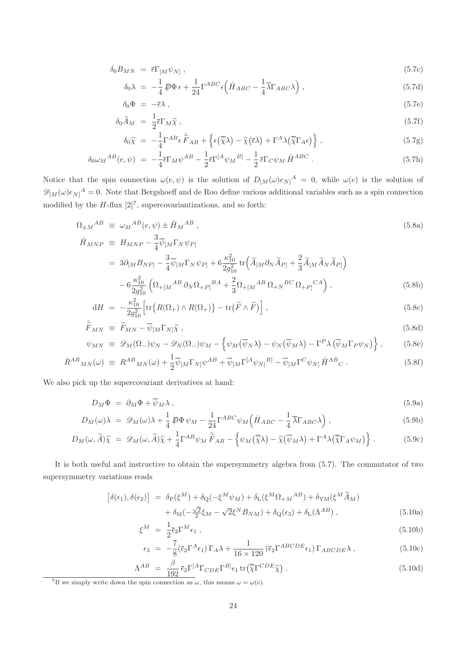$$
\delta_0 B_{MN} = \bar{\epsilon} \Gamma_{[M} \psi_{N]}, \qquad (5.7c)
$$

$$
\delta_0 \lambda = -\frac{1}{4} \mathcal{D} \Phi \epsilon + \frac{1}{24} \Gamma^{ABC} \epsilon \left( \hat{H}_{ABC} - \frac{1}{4} \overline{\lambda} \Gamma_{ABC} \lambda \right), \qquad (5.7d)
$$

$$
\delta_0 \Phi = -\bar{\epsilon}\lambda \,, \tag{5.7e}
$$

$$
\delta_0 \widetilde{A}_M = \frac{1}{2} \overline{\epsilon} \Gamma_M \widetilde{\chi} \,, \tag{5.7f}
$$

$$
\delta_0 \widetilde{\chi} = -\frac{1}{4} \Gamma^{AB} \epsilon \widetilde{\widetilde{F}}_{AB} + \left\{ \epsilon (\overline{\widetilde{\chi}} \lambda) - \widetilde{\chi} (\overline{\epsilon} \lambda) + \Gamma^A \lambda (\overline{\widetilde{\chi}} \Gamma_A \epsilon) \right\}, \tag{5.7g}
$$

$$
\delta_0 \omega_M{}^{AB}(e,\psi) = -\frac{1}{4} \bar{\epsilon} \Gamma_M \psi^{AB} - \frac{1}{2} \bar{\epsilon} \Gamma^{[A} \psi_M{}^{B]} - \frac{1}{2} \bar{\epsilon} \Gamma_C \psi_M \hat{H}^{ABC} \,. \tag{5.7h}
$$

Notice that the spin connection  $\omega(e,\psi)$  is the solution of  $D_{[M]}(\omega)e_{N]}^{A} = 0$ , while  $\omega(e)$  is the solution of  $\mathscr{D}_{[M]}(\omega)e_N^A=0$ . Note that Bergshoeff and de Roo define various additional variables such as a spin connection modified by the  $H$ -flux  $[2]^7$ , supercovariantizations, and so forth:

$$
\Omega_{\pm M}{}^{AB} \equiv \omega_M{}^{AB}(e,\psi) \pm \hat{H}_M{}^{AB} ,
$$
\n
$$
\hat{H}_{MNP} \equiv H_{MNP} - \frac{3}{4} \overline{\psi}_{[M} \Gamma_N \psi_{P]}
$$
\n(5.8a)

$$
M_{MNP} \equiv H_{MNP} - \frac{3}{4} \psi_{[M} \Gamma_N \psi_{P]}
$$
  
=  $3 \partial_{[M} B_{NP]} - \frac{3}{4} \overline{\psi}_{[M} \Gamma_N \psi_{P]} + 6 \frac{\kappa_{10}^2}{2g_{10}^2} tr \left( \widetilde{A}_{[M} \partial_N \widetilde{A}_{P]} + \frac{2}{3} \widetilde{A}_{[M} \widetilde{A}_N \widetilde{A}_{P]} \right)$   
 $- 6 \frac{\kappa_{10}^2}{2g_{10}^2} \left( \Omega_{+[M}{}^{AB} \partial_N \Omega_{+P]}{}^{BA} + \frac{2}{3} \Omega_{+[M}{}^{AB} \Omega_{+N}{}^{BC} \Omega_{+P]}{}^{CA} \right),$  (5.8b)

$$
dH = -\frac{\kappa_{10}^2}{2g_{10}^2} \left[ \text{tr}\left\{ R(\Omega_+) \wedge R(\Omega_+) \right\} - \text{tr}\left( \tilde{F} \wedge \tilde{F} \right) \right],\tag{5.8c}
$$

$$
\hat{\tilde{F}}_{MN} \equiv \tilde{F}_{MN} - \overline{\psi}_{[M} \Gamma_{N]} \tilde{\chi} \,, \tag{5.8d}
$$

$$
\psi_{MN} \equiv \mathscr{D}_M(\Omega_-)\psi_N - \mathscr{D}_N(\Omega_-)\psi_M - \left\{\psi_M(\overline{\psi}_N\lambda) - \psi_N(\overline{\psi}_M\lambda) - \Gamma^P\lambda(\overline{\psi}_M\Gamma_P\psi_N)\right\},
$$
(5.8e)

$$
\hat{R}^{AB}{}_{MN}(\omega) \equiv R^{AB}{}_{MN}(\omega) + \frac{1}{2}\overline{\psi}_{[M}\Gamma_{N]}\psi^{AB} + \overline{\psi}_{[M}\Gamma^{[A}\psi_{N]}{}^{B]} - \overline{\psi}_{[M}\Gamma^{C}\psi_{N]} \hat{H}^{AB}{}_{C} \,. \tag{5.8f}
$$

We also pick up the supercovariant derivatives at hand:

 $\overline{\phantom{a}}$ 

$$
D_M \Phi = \partial_M \Phi + \overline{\psi}_M \lambda \,, \tag{5.9a}
$$

$$
D_M(\omega)\lambda = \mathscr{D}_M(\omega)\lambda + \frac{1}{4}\mathscr{D}\Phi\,\psi_M - \frac{1}{24}\Gamma^{ABC}\psi_M\left(\hat{H}_{ABC} - \frac{1}{4}\overline{\lambda}\Gamma_{ABC}\lambda\right),\tag{5.9b}
$$

$$
D_M(\omega, \widetilde{A})\widetilde{\chi} = \mathscr{D}_M(\omega, \widetilde{A})\widetilde{\chi} + \frac{1}{4}\Gamma^{AB}\psi_M \widetilde{F}_{AB} - \left\{\psi_M(\widetilde{\chi}\lambda) - \widetilde{\chi}(\overline{\psi}_M\lambda) + \Gamma^A\lambda(\widetilde{\chi}\Gamma_A\psi_M)\right\}.
$$
 (5.9c)

It is both useful and instructive to obtain the supersymmetry algebra from (5.7). The commutator of two supersymmetry variations reads

$$
\begin{split} \left[\delta(\epsilon_{1}),\delta(\epsilon_{2})\right] \; &= \; \delta_{\rm P}(\xi^{M}) + \delta_{\rm Q}(-\xi^{M}\psi_{M}) + \delta_{\rm L}(\xi^{M}\Omega_{+M}{}^{AB}) + \delta_{\rm YM}(\xi^{M}\widetilde{A}_{M}) \\ &+ \delta_{\rm M}(-\frac{\sqrt{2}}{2}\xi_{M} - \sqrt{2}\xi^{N}B_{NM}) + \delta_{\rm Q}(\epsilon_{3}) + \delta_{\rm L}(\Lambda^{AB}) \;, \end{split} \tag{5.10a}
$$

$$
\xi^M = \frac{1}{2} \overline{\epsilon}_2 \Gamma^M \epsilon_1 \,, \tag{5.10b}
$$

$$
\epsilon_3 = -\frac{7}{8} (\bar{\epsilon}_2 \Gamma^A \epsilon_1) \Gamma_A \lambda + \frac{1}{16 \times 120} (\bar{\epsilon}_2 \Gamma^{ABCDE} \epsilon_1) \Gamma_{ABCDE} \lambda , \qquad (5.10c)
$$

$$
\Lambda^{AB} = \frac{\beta}{192} \bar{\epsilon}_2 \Gamma^{[A} \Gamma_{CDE} \Gamma^{B]} \epsilon_1 \operatorname{tr}(\overline{\tilde{\chi}} \Gamma^{CDE} \overline{\tilde{\chi}}) . \tag{5.10d}
$$

<sup>7</sup>If we simply write down the spin connection as  $\omega$ , this means  $\omega = \omega(e)$ .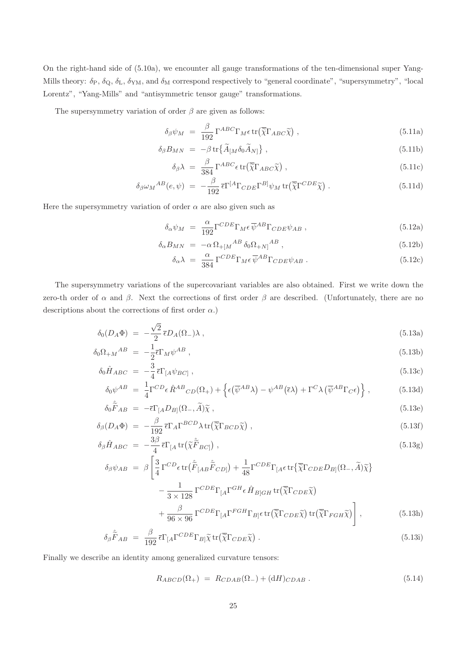On the right-hand side of (5.10a), we encounter all gauge transformations of the ten-dimensional super Yang-Mills theory:  $\delta_P$ ,  $\delta_Q$ ,  $\delta_L$ ,  $\delta_{YM}$ , and  $\delta_M$  correspond respectively to "general coordinate", "supersymmetry", "local Lorentz", "Yang-Mills" and "antisymmetric tensor gauge" transformations.

The supersymmetry variation of order  $\beta$  are given as follows:

$$
\delta_{\beta}\psi_M = \frac{\beta}{192} \Gamma^{ABC} \Gamma_M \epsilon \operatorname{tr}(\overline{\tilde{\chi}} \Gamma_{ABC} \widetilde{\chi}) , \qquad (5.11a)
$$

$$
\delta_{\beta} B_{MN} = -\beta \operatorname{tr} \{ \widetilde{A}_{[M} \delta_0 \widetilde{A}_{N]} \}, \qquad (5.11b)
$$

$$
\delta_{\beta} \lambda = \frac{\beta}{384} \Gamma^{ABC} \epsilon \operatorname{tr} (\overline{\tilde{\chi}} \Gamma_{ABC} \tilde{\chi}) , \qquad (5.11c)
$$

$$
\delta_{\beta}\omega_{M}^{AB}(e,\psi) = -\frac{\beta}{192}\bar{\epsilon}\Gamma^{[A}\Gamma_{CDE}\Gamma^{B]}\psi_{M}\operatorname{tr}(\overline{\tilde{\chi}}\Gamma^{CDE}\tilde{\chi})\,. \tag{5.11d}
$$

Here the supersymmetry variation of order  $\alpha$  are also given such as

$$
\delta_{\alpha}\psi_M = \frac{\alpha}{192} \Gamma^{CDE} \Gamma_M \epsilon \overline{\psi}^{AB} \Gamma_{CDE} \psi_{AB} , \qquad (5.12a)
$$

$$
\delta_{\alpha} B_{MN} = -\alpha \Omega_{+ [M}{}^{AB} \delta_0 \Omega_{+N]}{}^{AB} , \qquad (5.12b)
$$

$$
\delta_{\alpha}\lambda = \frac{\alpha}{384} \Gamma^{CDE} \Gamma_M \epsilon \overline{\psi}^{AB} \Gamma_{CDE} \psi_{AB} . \qquad (5.12c)
$$

The supersymmetry variations of the supercovariant variables are also obtained. First we write down the zero-th order of  $\alpha$  and  $\beta$ . Next the corrections of first order  $\beta$  are described. (Unfortunately, there are no descriptions about the corrections of first order  $\alpha$ .)

$$
\delta_0(D_A \Phi) = -\frac{\sqrt{2}}{2} \bar{\epsilon} D_A(\Omega_-) \lambda , \qquad (5.13a)
$$

$$
\delta_0 \Omega_{+M}{}^{AB} = -\frac{1}{2} \overline{\epsilon} \Gamma_M \psi^{AB} , \qquad (5.13b)
$$
\n
$$
\delta_0 \hat{\mathbf{r}} \qquad \frac{3}{2} \overline{\epsilon} \Gamma_M \psi^{AB} , \qquad (5.13c)
$$

$$
\delta_0 \hat{H}_{ABC} = -\frac{3}{4} \bar{\epsilon} \Gamma_{[A} \psi_{BC]},
$$
\n
$$
\delta_0 \psi^{AB} = \frac{1}{4} \Gamma^{CD} \epsilon \hat{R}^{AB}{}_{CD} (\Omega_+) + \left\{ \epsilon (\overline{\psi}^{AB} \lambda) - \psi^{AB} (\overline{\epsilon} \lambda) + \Gamma^C \lambda (\overline{\psi}^{AB} \Gamma_C \epsilon) \right\},
$$
\n(5.13d)

$$
\delta_0 \hat{\tilde{F}}_{AB} = -\bar{\epsilon} \Gamma_{[A} D_{B]}(\Omega_-, \tilde{A}) \tilde{\chi} , \qquad (5.13e)
$$

$$
\delta_{\beta}(D_A \Phi) = -\frac{\beta}{192} \bar{\epsilon} \Gamma_A \Gamma^{BCD} \lambda \operatorname{tr}(\overline{\tilde{\chi}} \Gamma_{BCD} \tilde{\chi}), \qquad (5.13f)
$$

$$
\delta_{\beta}\hat{H}_{ABC} = -\frac{3\beta}{4}\bar{\epsilon}\Gamma_{[A}\operatorname{tr}\left(\tilde{\chi}\tilde{\tilde{F}}_{BC}\right),\tag{5.13g}
$$

$$
\delta_{\beta}\psi_{AB} = \beta \left[ \frac{3}{4} \Gamma^{CD} \epsilon \operatorname{tr}(\tilde{\tilde{F}}_{[AB}\tilde{\tilde{F}}_{CD]}) + \frac{1}{48} \Gamma^{CDE} \Gamma_{[A} \epsilon \operatorname{tr} \{ \overline{\tilde{\chi}} \Gamma_{CDE} D_{B]} (\Omega_-, \tilde{A}) \tilde{\chi} \} - \frac{1}{3 \times 128} \Gamma^{CDE} \Gamma_{[A} \Gamma^{GH} \epsilon \hat{H}_{B]GH} \operatorname{tr}(\overline{\tilde{\chi}} \Gamma_{CDE} \tilde{\chi}) + \frac{\beta}{96 \times 96} \Gamma^{CDE} \Gamma_{[A} \Gamma^{FGH} \Gamma_{B]} \epsilon \operatorname{tr}(\overline{\tilde{\chi}} \Gamma_{CDE} \tilde{\chi}) \operatorname{tr}(\overline{\tilde{\chi}} \Gamma_{FGH} \tilde{\chi}) \right], \tag{5.13h}
$$

$$
\delta_{\beta} \hat{\tilde{F}}_{AB} = \frac{\beta}{192} \bar{\epsilon} \Gamma_{[A} \Gamma^{CDE} \Gamma_{B]} \tilde{\chi} \operatorname{tr} (\overline{\tilde{\chi}} \Gamma_{CDE} \tilde{\chi}) . \tag{5.13i}
$$

Finally we describe an identity among generalized curvature tensors:

$$
R_{ABCD}(\Omega_+) = R_{CDAB}(\Omega_-) + (\mathrm{d}H)_{CDAB}. \tag{5.14}
$$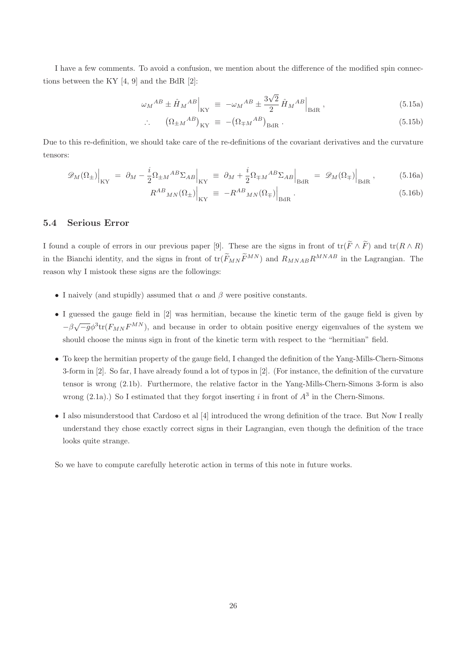I have a few comments. To avoid a confusion, we mention about the difference of the modified spin connections between the KY  $[4, 9]$  and the BdR  $[2]$ :

$$
\omega_M{}^{AB} \pm \hat{H}_M{}^{AB}\Big|_{\rm KY} \equiv -\omega_M{}^{AB} \pm \frac{3\sqrt{2}}{2}\hat{H}_M{}^{AB}\Big|_{\rm BdR},\qquad (5.15a)
$$

$$
\therefore \qquad (\Omega_{\pm M}{}^{AB})_{\text{KY}} \equiv -(\Omega_{\mp M}{}^{AB})_{\text{BdR}} \,. \tag{5.15b}
$$

Due to this re-definition, we should take care of the re-definitions of the covariant derivatives and the curvature tensors:

$$
\mathcal{D}_M(\Omega_\pm)\Big|_{\text{KY}} = \partial_M - \frac{i}{2}\Omega_{\pm M}{}^{AB}\Sigma_{AB}\Big|_{\text{KY}} \equiv \partial_M + \frac{i}{2}\Omega_{\mp M}{}^{AB}\Sigma_{AB}\Big|_{\text{BdR}} = \mathcal{D}_M(\Omega_\mp)\Big|_{\text{BdR}},\tag{5.16a}
$$
\n
$$
R^{AB}{}_{MN}(\Omega_\pm)\Big|_{\text{EM}} = -R^{AB}{}_{MN}(\Omega_\pm)\Big|_{\text{EM}}.\tag{5.16b}
$$

$$
\left. \mathcal{R}^{AB}{}_{MN}(\Omega_{\pm}) \right|_{\rm KY} \equiv -R^{AB}{}_{MN}(\Omega_{\mp}) \Big|_{\rm BdR} \,. \tag{5.16b}
$$

#### 5.4 Serious Error

I found a couple of errors in our previous paper [9]. These are the signs in front of  $\text{tr}(\widetilde{F} \wedge \widetilde{F})$  and  $\text{tr}(R \wedge R)$ in the Bianchi identity, and the signs in front of  $tr(\widetilde{F}_{MN}\widetilde{F}^{MN})$  and  $R_{MNAB}R^{MNAB}$  in the Lagrangian. The reason why I mistook these signs are the followings:

- I naively (and stupidly) assumed that  $\alpha$  and  $\beta$  were positive constants.
- I guessed the gauge field in [2] was hermitian, because the kinetic term of the gauge field is given by  $-\beta\sqrt{-g}\phi^3$ tr $(F_{MN}F^{MN})$ , and because in order to obtain positive energy eigenvalues of the system we should choose the minus sign in front of the kinetic term with respect to the "hermitian" field.
- To keep the hermitian property of the gauge field, I changed the definition of the Yang-Mills-Chern-Simons 3-form in [2]. So far, I have already found a lot of typos in [2]. (For instance, the definition of the curvature tensor is wrong (2.1b). Furthermore, the relative factor in the Yang-Mills-Chern-Simons 3-form is also wrong  $(2.1a)$ .) So I estimated that they forgot inserting i in front of  $A<sup>3</sup>$  in the Chern-Simons.
- I also misunderstood that Cardoso et al [4] introduced the wrong definition of the trace. But Now I really understand they chose exactly correct signs in their Lagrangian, even though the definition of the trace looks quite strange.

So we have to compute carefully heterotic action in terms of this note in future works.